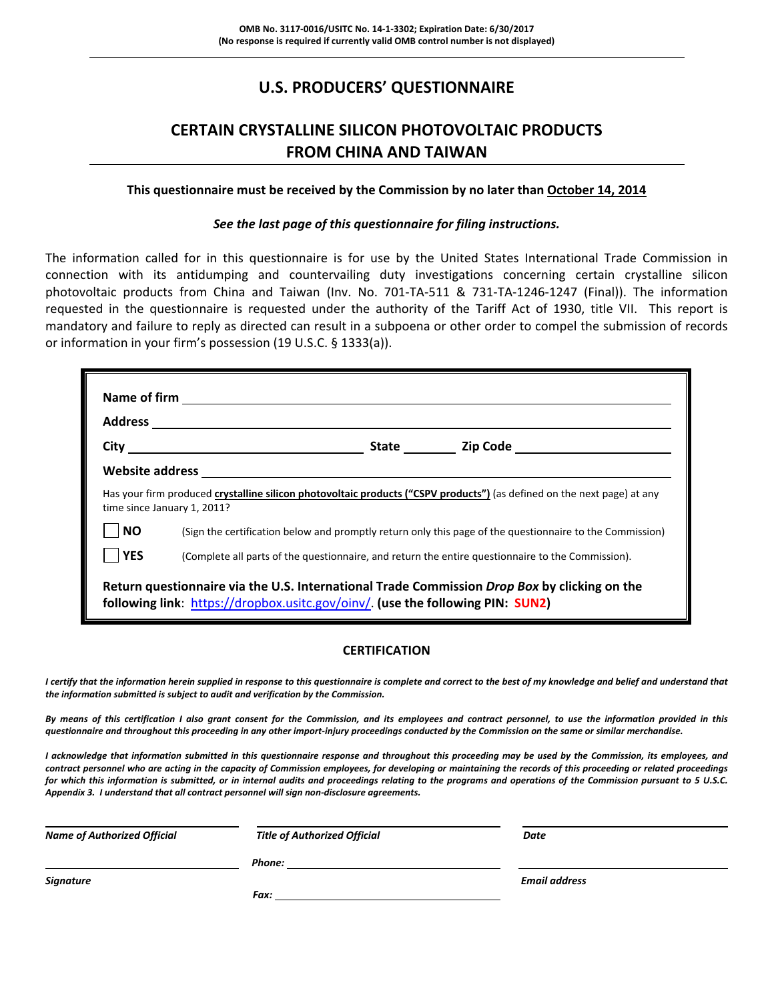### **U.S. PRODUCERS' QUESTIONNAIRE**

### **CERTAIN CRYSTALLINE SILICON PHOTOVOLTAIC PRODUCTS FROM CHINA AND TAIWAN**

#### **This questionnaire must be received by the Commission by no later than October 14, 2014**

### *See the last page of this questionnaire for filing instructions.*

The information called for in this questionnaire is for use by the United States International Trade Commission in connection with its antidumping and countervailing duty investigations concerning certain crystalline silicon photovoltaic products from China and Taiwan (Inv. No. 701‐TA‐511 & 731‐TA‐1246‐1247 (Final)). The information requested in the questionnaire is requested under the authority of the Tariff Act of 1930, title VII. This report is mandatory and failure to reply as directed can result in a subpoena or other order to compel the submission of records or information in your firm's possession (19 U.S.C. § 1333(a)).

|            | time since January 1, 2011?                                                    | Has your firm produced crystalline silicon photovoltaic products ("CSPV products") (as defined on the next page) at any |
|------------|--------------------------------------------------------------------------------|-------------------------------------------------------------------------------------------------------------------------|
| <b>NO</b>  |                                                                                | (Sign the certification below and promptly return only this page of the questionnaire to the Commission)                |
| <b>YES</b> |                                                                                | (Complete all parts of the questionnaire, and return the entire questionnaire to the Commission).                       |
|            | following link: https://dropbox.usitc.gov/oinv/. (use the following PIN: SUN2) | Return questionnaire via the U.S. International Trade Commission Drop Box by clicking on the                            |

### **CERTIFICATION**

I certify that the information herein supplied in response to this questionnaire is complete and correct to the best of my knowledge and belief and understand that *the information submitted is subject to audit and verification by the Commission.*

By means of this certification I also grant consent for the Commission, and its employees and contract personnel, to use the information provided in this questionnaire and throughout this proceeding in any other import-injury proceedings conducted by the Commission on the same or similar merchandise.

I acknowledge that information submitted in this questionnaire response and throughout this proceeding may be used by the Commission, its employees, and contract personnel who are acting in the capacity of Commission employees, for developing or maintaining the records of this proceeding or related proceedings for which this information is submitted, or in internal audits and proceedings relating to the programs and operations of the Commission pursuant to 5 U.S.C. *Appendix 3. I understand that all contract personnel will sign non‐disclosure agreements.*

| <b>Name of Authorized Official</b> | <b>Title of Authorized Official</b> | Date                 |  |
|------------------------------------|-------------------------------------|----------------------|--|
|                                    | Phone:                              |                      |  |
| Signature                          |                                     | <b>Email address</b> |  |
|                                    | Fax:                                |                      |  |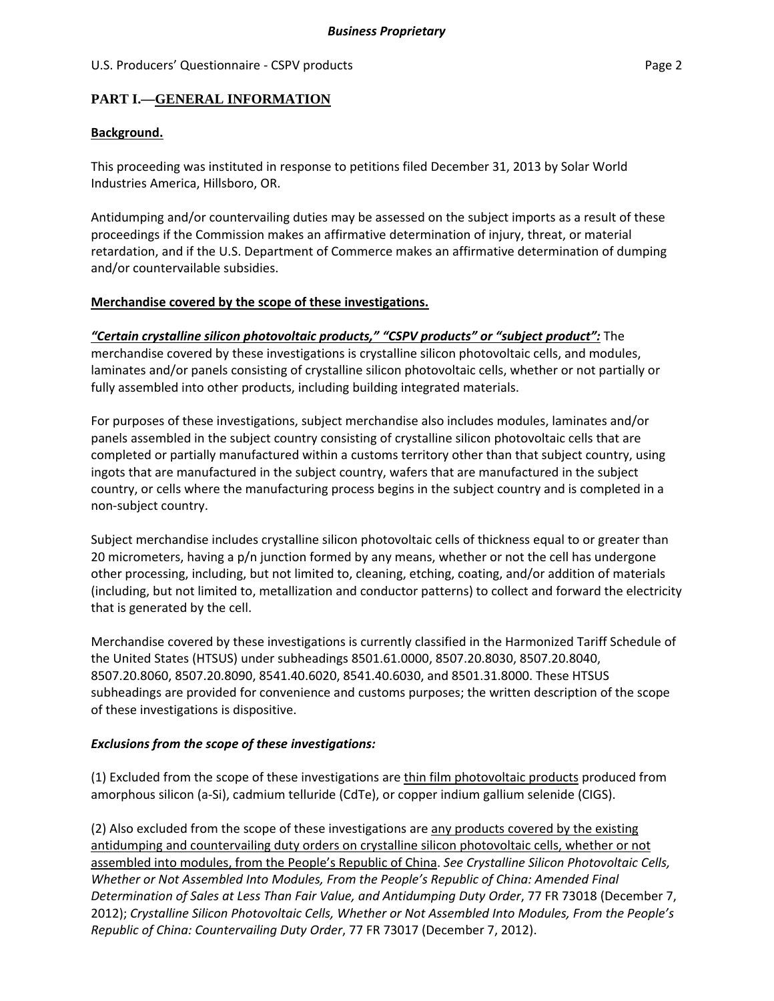### **PART I.—GENERAL INFORMATION**

### **Background.**

This proceeding was instituted in response to petitions filed December 31, 2013 by Solar World Industries America, Hillsboro, OR.

Antidumping and/or countervailing duties may be assessed on the subject imports as a result of these proceedings if the Commission makes an affirmative determination of injury, threat, or material retardation, and if the U.S. Department of Commerce makes an affirmative determination of dumping and/or countervailable subsidies.

### **Merchandise covered by the scope of these investigations.**

*"Certain crystalline silicon photovoltaic products," "CSPV products" or "subject product":* The merchandise covered by these investigations is crystalline silicon photovoltaic cells, and modules, laminates and/or panels consisting of crystalline silicon photovoltaic cells, whether or not partially or fully assembled into other products, including building integrated materials.

For purposes of these investigations, subject merchandise also includes modules, laminates and/or panels assembled in the subject country consisting of crystalline silicon photovoltaic cells that are completed or partially manufactured within a customs territory other than that subject country, using ingots that are manufactured in the subject country, wafers that are manufactured in the subject country, or cells where the manufacturing process begins in the subject country and is completed in a non‐subject country.

Subject merchandise includes crystalline silicon photovoltaic cells of thickness equal to or greater than 20 micrometers, having a p/n junction formed by any means, whether or not the cell has undergone other processing, including, but not limited to, cleaning, etching, coating, and/or addition of materials (including, but not limited to, metallization and conductor patterns) to collect and forward the electricity that is generated by the cell.

Merchandise covered by these investigations is currently classified in the Harmonized Tariff Schedule of the United States (HTSUS) under subheadings 8501.61.0000, 8507.20.8030, 8507.20.8040, 8507.20.8060, 8507.20.8090, 8541.40.6020, 8541.40.6030, and 8501.31.8000. These HTSUS subheadings are provided for convenience and customs purposes; the written description of the scope of these investigations is dispositive.

### *Exclusions from the scope of these investigations:*

(1) Excluded from the scope of these investigations are thin film photovoltaic products produced from amorphous silicon (a‐Si), cadmium telluride (CdTe), or copper indium gallium selenide (CIGS).

(2) Also excluded from the scope of these investigations are any products covered by the existing antidumping and countervailing duty orders on crystalline silicon photovoltaic cells, whether or not assembled into modules, from the People's Republic of China. *See Crystalline Silicon Photovoltaic Cells, Whether or Not Assembled Into Modules, From the People's Republic of China: Amended Final Determination of Sales at Less Than Fair Value, and Antidumping Duty Order*, 77 FR 73018 (December 7, 2012); *Crystalline Silicon Photovoltaic Cells, Whether or Not Assembled Into Modules, From the People's Republic of China: Countervailing Duty Order*, 77 FR 73017 (December 7, 2012).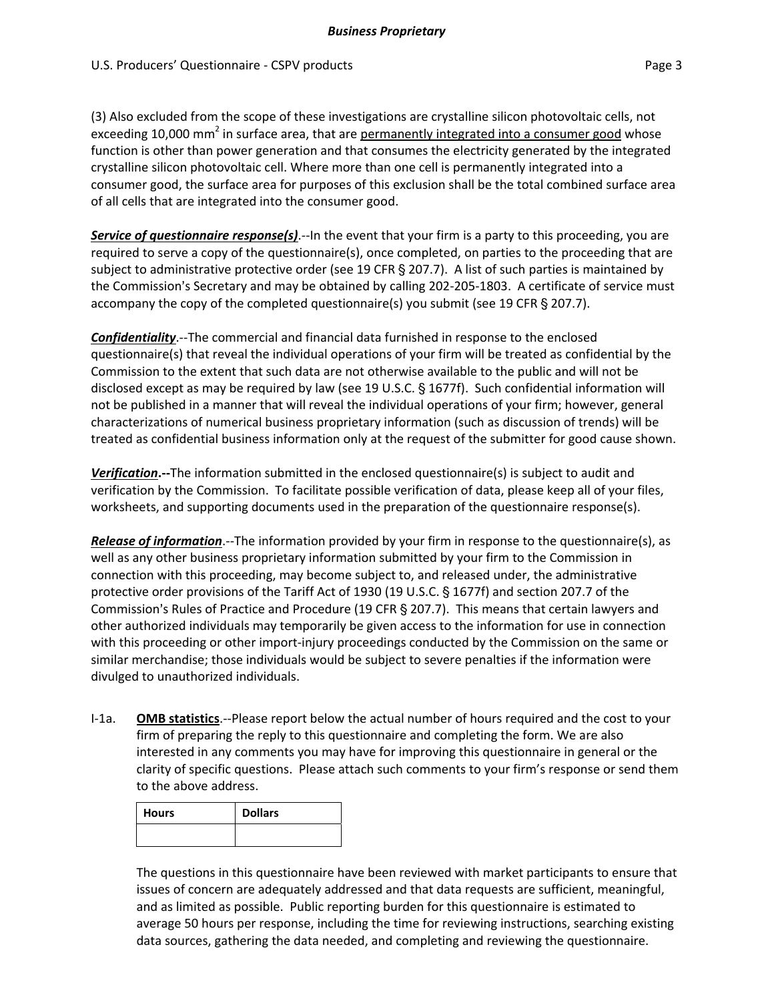(3) Also excluded from the scope of these investigations are crystalline silicon photovoltaic cells, not exceeding 10,000 mm<sup>2</sup> in surface area, that are permanently integrated into a consumer good whose function is other than power generation and that consumes the electricity generated by the integrated crystalline silicon photovoltaic cell. Where more than one cell is permanently integrated into a consumer good, the surface area for purposes of this exclusion shall be the total combined surface area of all cells that are integrated into the consumer good.

*Service of questionnaire response(s)*.‐‐In the event that your firm is a party to this proceeding, you are required to serve a copy of the questionnaire(s), once completed, on parties to the proceeding that are subject to administrative protective order (see 19 CFR  $\S 207.7$ ). A list of such parties is maintained by the Commission's Secretary and may be obtained by calling 202–205–1803. A certificate of service must accompany the copy of the completed questionnaire(s) you submit (see 19 CFR  $\S$  207.7).

*Confidentiality*.‐‐The commercial and financial data furnished in response to the enclosed questionnaire(s) that reveal the individual operations of your firm will be treated as confidential by the Commission to the extent that such data are not otherwise available to the public and will not be disclosed except as may be required by law (see 19 U.S.C. § 1677f). Such confidential information will not be published in a manner that will reveal the individual operations of your firm; however, general characterizations of numerical business proprietary information (such as discussion of trends) will be treated as confidential business information only at the request of the submitter for good cause shown.

*Verification***.‐‐**The information submitted in the enclosed questionnaire(s) is subject to audit and verification by the Commission. To facilitate possible verification of data, please keep all of your files, worksheets, and supporting documents used in the preparation of the questionnaire response(s).

*Release of information*.‐‐The information provided by your firm in response to the questionnaire(s), as well as any other business proprietary information submitted by your firm to the Commission in connection with this proceeding, may become subject to, and released under, the administrative protective order provisions of the Tariff Act of 1930 (19 U.S.C. § 1677f) and section 207.7 of the Commission's Rules of Practice and Procedure (19 CFR § 207.7). This means that certain lawyers and other authorized individuals may temporarily be given access to the information for use in connection with this proceeding or other import-injury proceedings conducted by the Commission on the same or similar merchandise; those individuals would be subject to severe penalties if the information were divulged to unauthorized individuals.

I‐1a. **OMB statistics**.‐‐Please report below the actual number of hours required and the cost to your firm of preparing the reply to this questionnaire and completing the form. We are also interested in any comments you may have for improving this questionnaire in general or the clarity of specific questions. Please attach such comments to your firm's response or send them to the above address.

| <b>Hours</b> | <b>Dollars</b> |
|--------------|----------------|
|              |                |

The questions in this questionnaire have been reviewed with market participants to ensure that issues of concern are adequately addressed and that data requests are sufficient, meaningful, and as limited as possible. Public reporting burden for this questionnaire is estimated to average 50 hours per response, including the time for reviewing instructions, searching existing data sources, gathering the data needed, and completing and reviewing the questionnaire.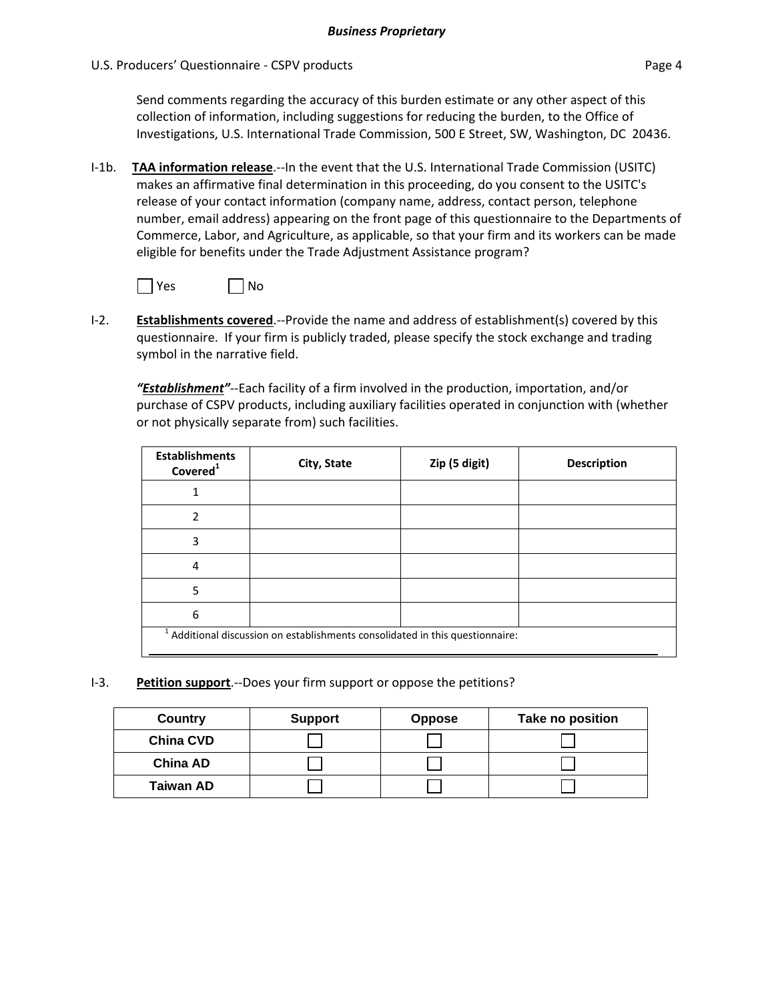Send comments regarding the accuracy of this burden estimate or any other aspect of this collection of information, including suggestions for reducing the burden, to the Office of Investigations, U.S. International Trade Commission, 500 E Street, SW, Washington, DC 20436.

I‐1b. **TAA information release**.‐‐In the event that the U.S. International Trade Commission (USITC) makes an affirmative final determination in this proceeding, do you consent to the USITC's release of your contact information (company name, address, contact person, telephone number, email address) appearing on the front page of this questionnaire to the Departments of Commerce, Labor, and Agriculture, as applicable, so that your firm and its workers can be made eligible for benefits under the Trade Adjustment Assistance program?



I‐2. **Establishments covered**.‐‐Provide the name and address of establishment(s) covered by this questionnaire. If your firm is publicly traded, please specify the stock exchange and trading symbol in the narrative field.

*"Establishment"*‐‐Each facility of a firm involved in the production, importation, and/or purchase of CSPV products, including auxiliary facilities operated in conjunction with (whether or not physically separate from) such facilities.

| <b>Establishments</b><br>Covered <sup>1</sup>                                            | City, State | Zip (5 digit) | <b>Description</b> |  |  |
|------------------------------------------------------------------------------------------|-------------|---------------|--------------------|--|--|
|                                                                                          |             |               |                    |  |  |
| $\overline{\phantom{a}}$                                                                 |             |               |                    |  |  |
| 3                                                                                        |             |               |                    |  |  |
| 4                                                                                        |             |               |                    |  |  |
| 5                                                                                        |             |               |                    |  |  |
| 6                                                                                        |             |               |                    |  |  |
| <sup>1</sup> Additional discussion on establishments consolidated in this questionnaire: |             |               |                    |  |  |

I‐3. **Petition support**.‐‐Does your firm support or oppose the petitions?

| Country          | <b>Support</b> | <b>Oppose</b> | Take no position |
|------------------|----------------|---------------|------------------|
| <b>China CVD</b> |                |               |                  |
| China AD         |                |               |                  |
| <b>Taiwan AD</b> |                |               |                  |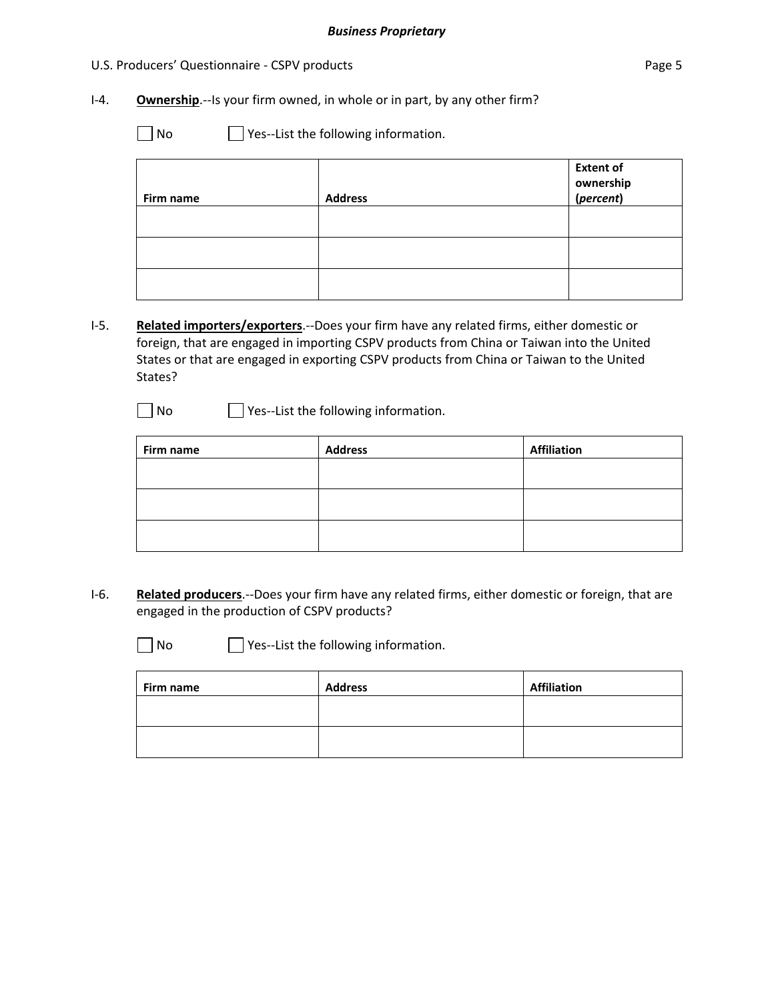### U.S. Producers' Questionnaire - CSPV products **Page 5** and Page 5

- I-4. **Ownership**.--Is your firm owned, in whole or in part, by any other firm?
	- No **B** Yes--List the following information.

| Firm name | <b>Address</b> | <b>Extent of</b><br>ownership<br>( <i>percent</i> ) |
|-----------|----------------|-----------------------------------------------------|
|           |                |                                                     |
|           |                |                                                     |
|           |                |                                                     |

- I‐5. **Related importers/exporters**.‐‐Does your firm have any related firms, either domestic or foreign, that are engaged in importing CSPV products from China or Taiwan into the United States or that are engaged in exporting CSPV products from China or Taiwan to the United States?
	- No **B** Yes--List the following information.

| Firm name | <b>Address</b> | <b>Affiliation</b> |
|-----------|----------------|--------------------|
|           |                |                    |
|           |                |                    |
|           |                |                    |
|           |                |                    |
|           |                |                    |

- I‐6. **Related producers**.‐‐Does your firm have any related firms, either domestic or foreign, that are engaged in the production of CSPV products?
	-

 $\Box$  No  $\Box$  Yes--List the following information.

| Firm name | <b>Address</b> | <b>Affiliation</b> |
|-----------|----------------|--------------------|
|           |                |                    |
|           |                |                    |
|           |                |                    |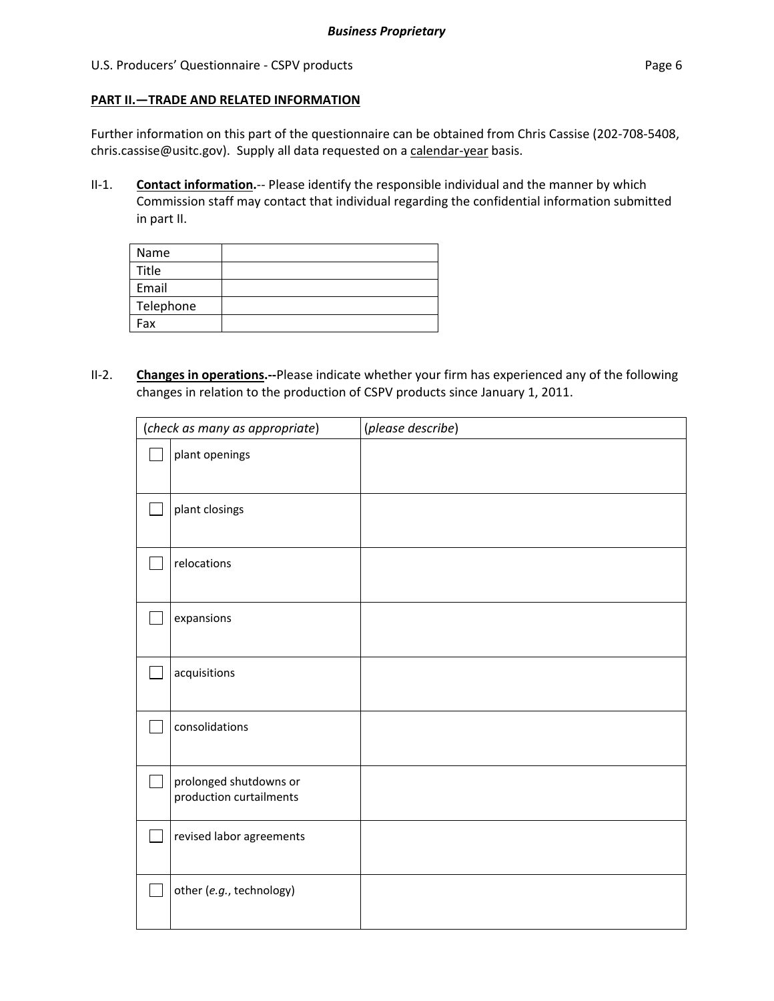### U.S. Producers' Questionnaire - CSPV products **Page 6** and Page 6

### **PART II.—TRADE AND RELATED INFORMATION**

Further information on this part of the questionnaire can be obtained from Chris Cassise (202-708-5408, chris.cassise@usitc.gov). Supply all data requested on a calendar-year basis.

II‐1. **Contact information.**‐‐ Please identify the responsible individual and the manner by which Commission staff may contact that individual regarding the confidential information submitted in part II.

| Name      |  |
|-----------|--|
| Title     |  |
| Email     |  |
| Telephone |  |
| Fax       |  |

II‐2. **Changes in operations.‐‐**Please indicate whether your firm has experienced any of the following changes in relation to the production of CSPV products since January 1, 2011.

| (check as many as appropriate) |                                                   | (please describe) |
|--------------------------------|---------------------------------------------------|-------------------|
|                                | plant openings                                    |                   |
| $\mathbb{R}^n$                 | plant closings                                    |                   |
|                                | relocations                                       |                   |
|                                | expansions                                        |                   |
|                                | acquisitions                                      |                   |
|                                | consolidations                                    |                   |
| $\mathcal{L}_{\mathcal{A}}$    | prolonged shutdowns or<br>production curtailments |                   |
|                                | revised labor agreements                          |                   |
|                                | other (e.g., technology)                          |                   |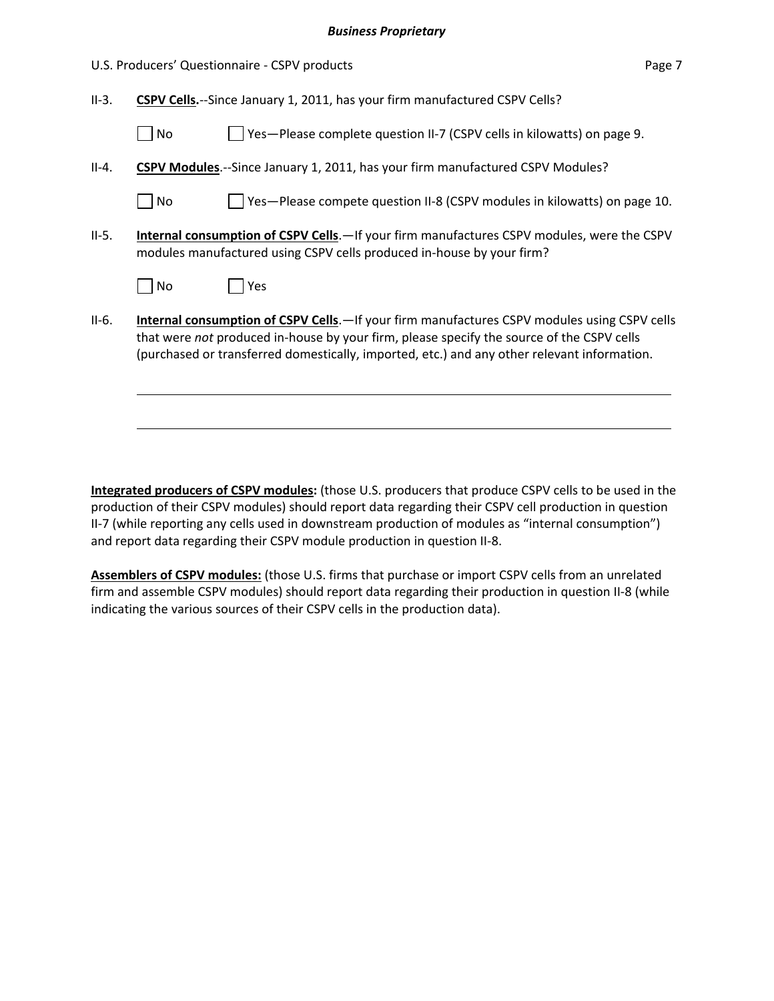#### *Business Proprietary*

|         |                                                                                                                                                                            | U.S. Producers' Questionnaire - CSPV products                                                                                                                                                                                                                                           | Page 7 |  |
|---------|----------------------------------------------------------------------------------------------------------------------------------------------------------------------------|-----------------------------------------------------------------------------------------------------------------------------------------------------------------------------------------------------------------------------------------------------------------------------------------|--------|--|
| $II-3.$ | CSPV Cells.--Since January 1, 2011, has your firm manufactured CSPV Cells?                                                                                                 |                                                                                                                                                                                                                                                                                         |        |  |
|         | No                                                                                                                                                                         | Yes-Please complete question II-7 (CSPV cells in kilowatts) on page 9.                                                                                                                                                                                                                  |        |  |
| $II-4.$ |                                                                                                                                                                            | CSPV Modules.--Since January 1, 2011, has your firm manufactured CSPV Modules?                                                                                                                                                                                                          |        |  |
|         | No                                                                                                                                                                         | Yes-Please compete question II-8 (CSPV modules in kilowatts) on page 10.                                                                                                                                                                                                                |        |  |
| $II-5.$ | <b>Internal consumption of CSPV Cells.</b> —If your firm manufactures CSPV modules, were the CSPV<br>modules manufactured using CSPV cells produced in-house by your firm? |                                                                                                                                                                                                                                                                                         |        |  |
|         | No                                                                                                                                                                         | Yes                                                                                                                                                                                                                                                                                     |        |  |
| $II-6.$ |                                                                                                                                                                            | Internal consumption of CSPV Cells.-If your firm manufactures CSPV modules using CSPV cells<br>that were not produced in-house by your firm, please specify the source of the CSPV cells<br>(purchased or transferred domestically, imported, etc.) and any other relevant information. |        |  |
|         |                                                                                                                                                                            |                                                                                                                                                                                                                                                                                         |        |  |

**Integrated producers of CSPV modules:** (those U.S. producers that produce CSPV cells to be used in the production of their CSPV modules) should report data regarding their CSPV cell production in question II‐7 (while reporting any cells used in downstream production of modules as "internal consumption") and report data regarding their CSPV module production in question II‐8.

**Assemblers of CSPV modules:** (those U.S. firms that purchase or import CSPV cells from an unrelated firm and assemble CSPV modules) should report data regarding their production in question II‐8 (while indicating the various sources of their CSPV cells in the production data).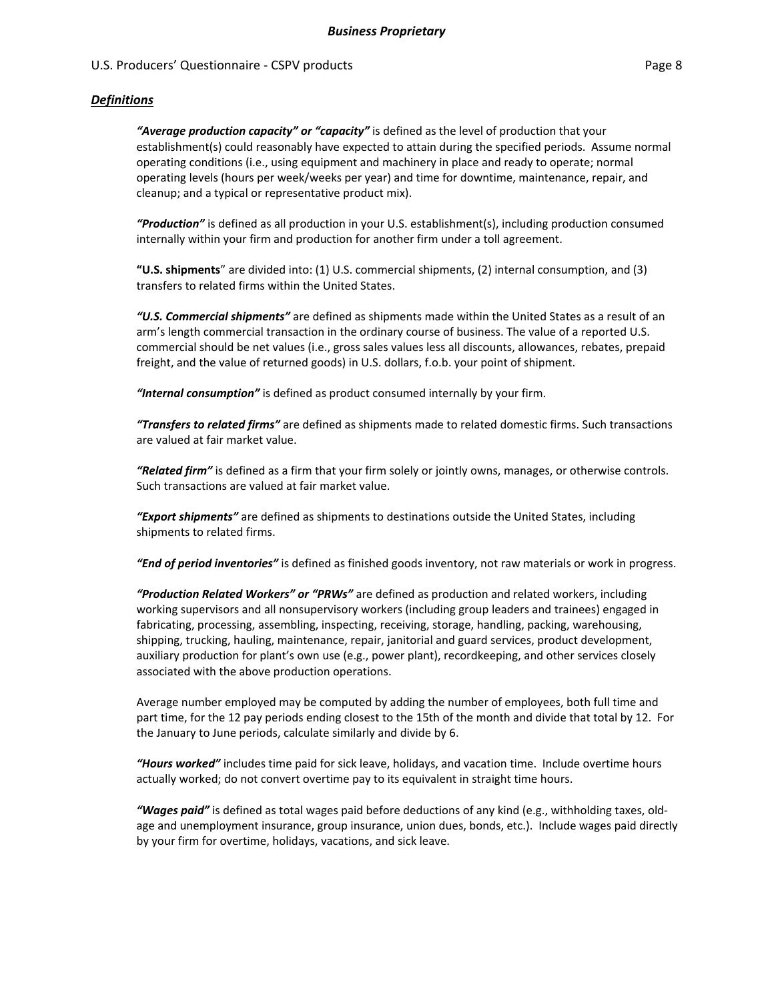### *Definitions*

*"Average production capacity" or "capacity"* is defined as the level of production that your establishment(s) could reasonably have expected to attain during the specified periods. Assume normal operating conditions (i.e., using equipment and machinery in place and ready to operate; normal operating levels (hours per week/weeks per year) and time for downtime, maintenance, repair, and cleanup; and a typical or representative product mix).

*"Production"* is defined as all production in your U.S. establishment(s), including production consumed internally within your firm and production for another firm under a toll agreement.

**"U.S. shipments**" are divided into: (1) U.S. commercial shipments, (2) internal consumption, and (3) transfers to related firms within the United States.

*"U.S. Commercial shipments"* are defined as shipments made within the United States as a result of an arm's length commercial transaction in the ordinary course of business. The value of a reported U.S. commercial should be net values (i.e., gross sales values less all discounts, allowances, rebates, prepaid freight, and the value of returned goods) in U.S. dollars, f.o.b. your point of shipment.

*"Internal consumption"* is defined as product consumed internally by your firm.

*"Transfers to related firms"* are defined as shipments made to related domestic firms. Such transactions are valued at fair market value.

*"Related firm"* is defined as a firm that your firm solely or jointly owns, manages, or otherwise controls. Such transactions are valued at fair market value.

*"Export shipments"* are defined as shipments to destinations outside the United States, including shipments to related firms.

*"End of period inventories"* is defined as finished goods inventory, not raw materials or work in progress.

*"Production Related Workers" or "PRWs"* are defined as production and related workers, including working supervisors and all nonsupervisory workers (including group leaders and trainees) engaged in fabricating, processing, assembling, inspecting, receiving, storage, handling, packing, warehousing, shipping, trucking, hauling, maintenance, repair, janitorial and guard services, product development, auxiliary production for plant's own use (e.g., power plant), recordkeeping, and other services closely associated with the above production operations.

Average number employed may be computed by adding the number of employees, both full time and part time, for the 12 pay periods ending closest to the 15th of the month and divide that total by 12. For the January to June periods, calculate similarly and divide by 6.

*"Hours worked"* includes time paid for sick leave, holidays, and vacation time. Include overtime hours actually worked; do not convert overtime pay to its equivalent in straight time hours.

*"Wages paid"* is defined as total wages paid before deductions of any kind (e.g., withholding taxes, old‐ age and unemployment insurance, group insurance, union dues, bonds, etc.). Include wages paid directly by your firm for overtime, holidays, vacations, and sick leave.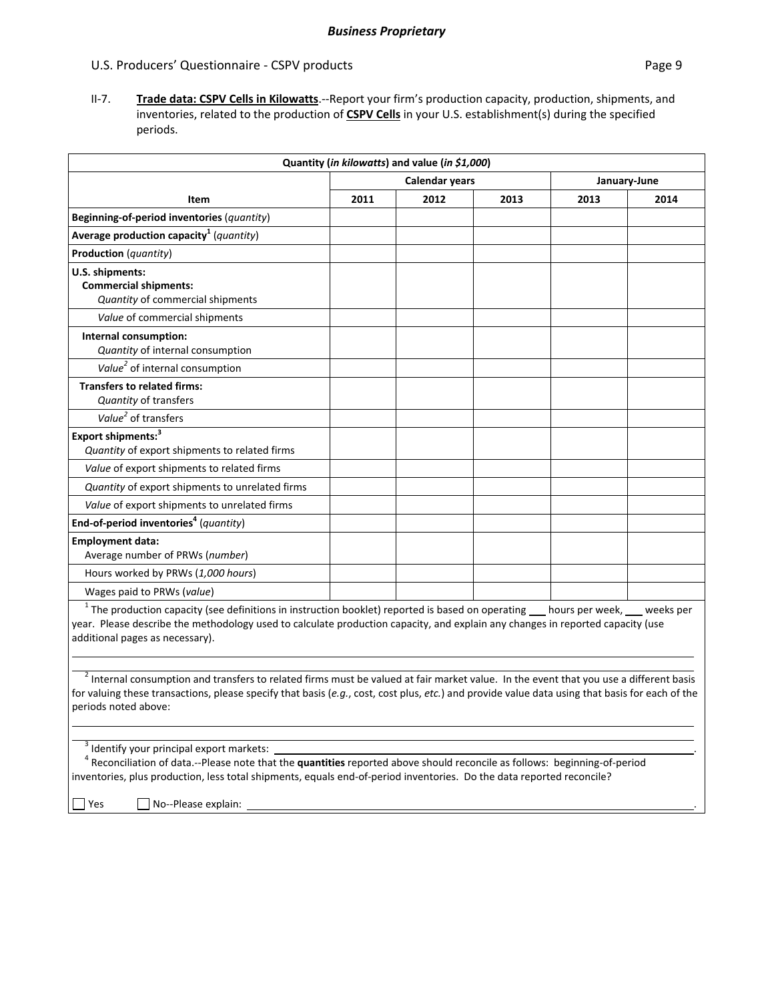II‐7. **Trade data: CSPV Cells in Kilowatts**.‐‐Report your firm's production capacity, production, shipments, and inventories, related to the production of **CSPV Cells** in your U.S. establishment(s) during the specified periods.

|                                                                                                                                                                                                                                                                                                                              |                                       | Quantity (in kilowatts) and value (in \$1,000) |      |      |      |
|------------------------------------------------------------------------------------------------------------------------------------------------------------------------------------------------------------------------------------------------------------------------------------------------------------------------------|---------------------------------------|------------------------------------------------|------|------|------|
|                                                                                                                                                                                                                                                                                                                              | <b>Calendar years</b><br>January-June |                                                |      |      |      |
| Item                                                                                                                                                                                                                                                                                                                         | 2011                                  | 2012                                           | 2013 | 2013 | 2014 |
| Beginning-of-period inventories (quantity)                                                                                                                                                                                                                                                                                   |                                       |                                                |      |      |      |
| Average production capacity <sup>1</sup> (quantity)                                                                                                                                                                                                                                                                          |                                       |                                                |      |      |      |
| <b>Production</b> (quantity)                                                                                                                                                                                                                                                                                                 |                                       |                                                |      |      |      |
| U.S. shipments:<br><b>Commercial shipments:</b><br>Quantity of commercial shipments                                                                                                                                                                                                                                          |                                       |                                                |      |      |      |
| Value of commercial shipments                                                                                                                                                                                                                                                                                                |                                       |                                                |      |      |      |
| Internal consumption:<br>Quantity of internal consumption                                                                                                                                                                                                                                                                    |                                       |                                                |      |      |      |
| Value <sup>2</sup> of internal consumption                                                                                                                                                                                                                                                                                   |                                       |                                                |      |      |      |
| <b>Transfers to related firms:</b><br><b>Quantity of transfers</b>                                                                                                                                                                                                                                                           |                                       |                                                |      |      |      |
| Value <sup>2</sup> of transfers                                                                                                                                                                                                                                                                                              |                                       |                                                |      |      |      |
| Export shipments: <sup>3</sup><br>Quantity of export shipments to related firms                                                                                                                                                                                                                                              |                                       |                                                |      |      |      |
| Value of export shipments to related firms                                                                                                                                                                                                                                                                                   |                                       |                                                |      |      |      |
| Quantity of export shipments to unrelated firms                                                                                                                                                                                                                                                                              |                                       |                                                |      |      |      |
| Value of export shipments to unrelated firms                                                                                                                                                                                                                                                                                 |                                       |                                                |      |      |      |
| End-of-period inventories <sup>4</sup> (quantity)                                                                                                                                                                                                                                                                            |                                       |                                                |      |      |      |
| <b>Employment data:</b><br>Average number of PRWs (number)                                                                                                                                                                                                                                                                   |                                       |                                                |      |      |      |
| Hours worked by PRWs (1,000 hours)                                                                                                                                                                                                                                                                                           |                                       |                                                |      |      |      |
| Wages paid to PRWs (value)                                                                                                                                                                                                                                                                                                   |                                       |                                                |      |      |      |
| $1$ The production capacity (see definitions in instruction booklet) reported is based on operating $\_\_$ hours per week, $\_\_$ weeks per<br>year. Please describe the methodology used to calculate production capacity, and explain any changes in reported capacity (use<br>additional pages as necessary).             |                                       |                                                |      |      |      |
| <sup>2</sup> Internal consumption and transfers to related firms must be valued at fair market value. In the event that you use a different basis<br>for valuing these transactions, please specify that basis (e.g., cost, cost plus, etc.) and provide value data using that basis for each of the<br>periods noted above: |                                       |                                                |      |      |      |
| <sup>3</sup> Identify your principal export markets:<br><sup>4</sup> Reconciliation of data.--Please note that the quantities reported above should reconcile as follows: beginning-of-period<br>inventories, plus production, less total shipments, equals end-of-period inventories. Do the data reported reconcile?       |                                       |                                                |      |      |      |

 $\Box$  Yes  $\Box$  No--Please explain: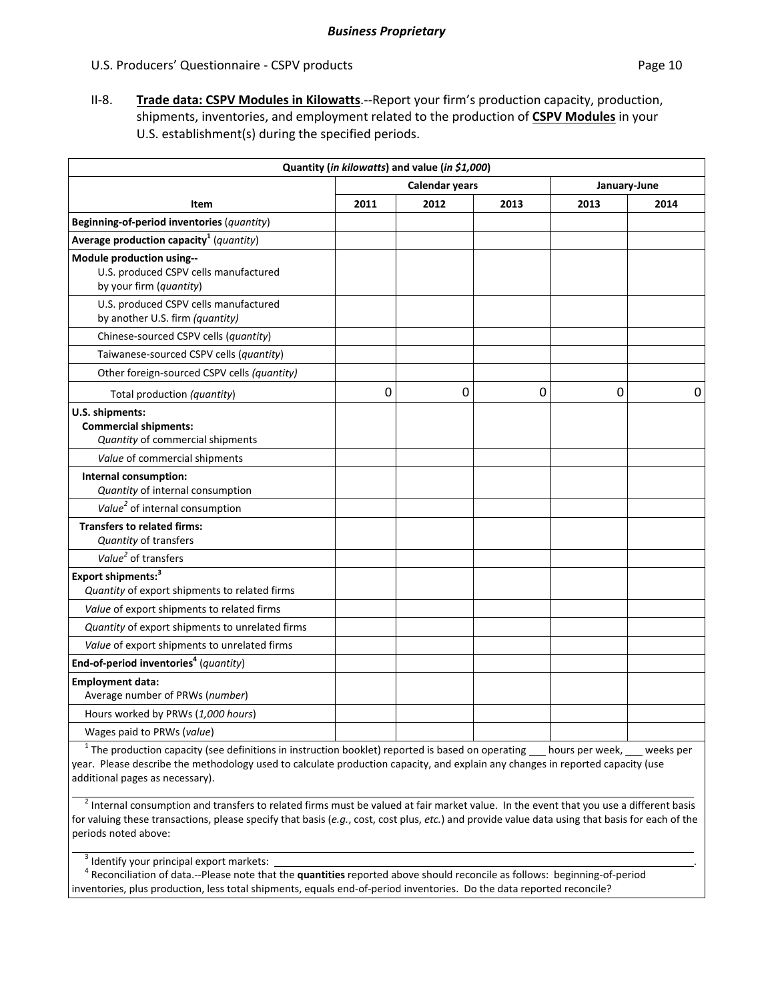II‐8. **Trade data: CSPV Modules in Kilowatts**.‐‐Report your firm's production capacity, production, shipments, inventories, and employment related to the production of **CSPV Modules** in your U.S. establishment(s) during the specified periods.

|                                                                                               |      | Quantity (in kilowatts) and value (in \$1,000) |                |              |      |
|-----------------------------------------------------------------------------------------------|------|------------------------------------------------|----------------|--------------|------|
|                                                                                               |      | <b>Calendar years</b>                          |                | January-June |      |
| Item                                                                                          | 2011 | 2012                                           | 2013           | 2013         | 2014 |
| Beginning-of-period inventories (quantity)                                                    |      |                                                |                |              |      |
| Average production capacity <sup>1</sup> (quantity)                                           |      |                                                |                |              |      |
| Module production using--<br>U.S. produced CSPV cells manufactured<br>by your firm (quantity) |      |                                                |                |              |      |
| U.S. produced CSPV cells manufactured<br>by another U.S. firm (quantity)                      |      |                                                |                |              |      |
| Chinese-sourced CSPV cells (quantity)                                                         |      |                                                |                |              |      |
| Taiwanese-sourced CSPV cells (quantity)                                                       |      |                                                |                |              |      |
| Other foreign-sourced CSPV cells (quantity)                                                   |      |                                                |                |              |      |
| Total production (quantity)                                                                   | 0    | 0                                              | $\overline{0}$ | 0            | 0    |
| U.S. shipments:<br><b>Commercial shipments:</b><br>Quantity of commercial shipments           |      |                                                |                |              |      |
| Value of commercial shipments                                                                 |      |                                                |                |              |      |
| Internal consumption:<br>Quantity of internal consumption                                     |      |                                                |                |              |      |
| Value <sup>2</sup> of internal consumption                                                    |      |                                                |                |              |      |
| <b>Transfers to related firms:</b><br>Quantity of transfers                                   |      |                                                |                |              |      |
| Value <sup>2</sup> of transfers                                                               |      |                                                |                |              |      |
| Export shipments: <sup>3</sup><br>Quantity of export shipments to related firms               |      |                                                |                |              |      |
| Value of export shipments to related firms                                                    |      |                                                |                |              |      |
| Quantity of export shipments to unrelated firms                                               |      |                                                |                |              |      |
| Value of export shipments to unrelated firms                                                  |      |                                                |                |              |      |
| End-of-period inventories <sup>4</sup> (quantity)                                             |      |                                                |                |              |      |
| <b>Employment data:</b><br>Average number of PRWs (number)                                    |      |                                                |                |              |      |
| Hours worked by PRWs (1,000 hours)                                                            |      |                                                |                |              |      |
| Wages paid to PRWs (value)                                                                    |      |                                                |                |              |      |
|                                                                                               |      |                                                |                |              |      |

 $1$  The production capacity (see definitions in instruction booklet) reported is based on operating hours per week, sume weeks per year. Please describe the methodology used to calculate production capacity, and explain any changes in reported capacity (use additional pages as necessary).

<sup>2</sup> Internal consumption and transfers to related firms must be valued at fair market value. In the event that you use a different basis for valuing these transactions, please specify that basis (*e.g.*, cost, cost plus, *etc.*) and provide value data using that basis for each of the periods noted above:

 $3$  Identify your principal export markets:

 <sup>4</sup> Reconciliation of data.‐‐Please note that the **quantities** reported above should reconcile as follows: beginning‐of‐period inventories, plus production, less total shipments, equals end-of-period inventories. Do the data reported reconcile?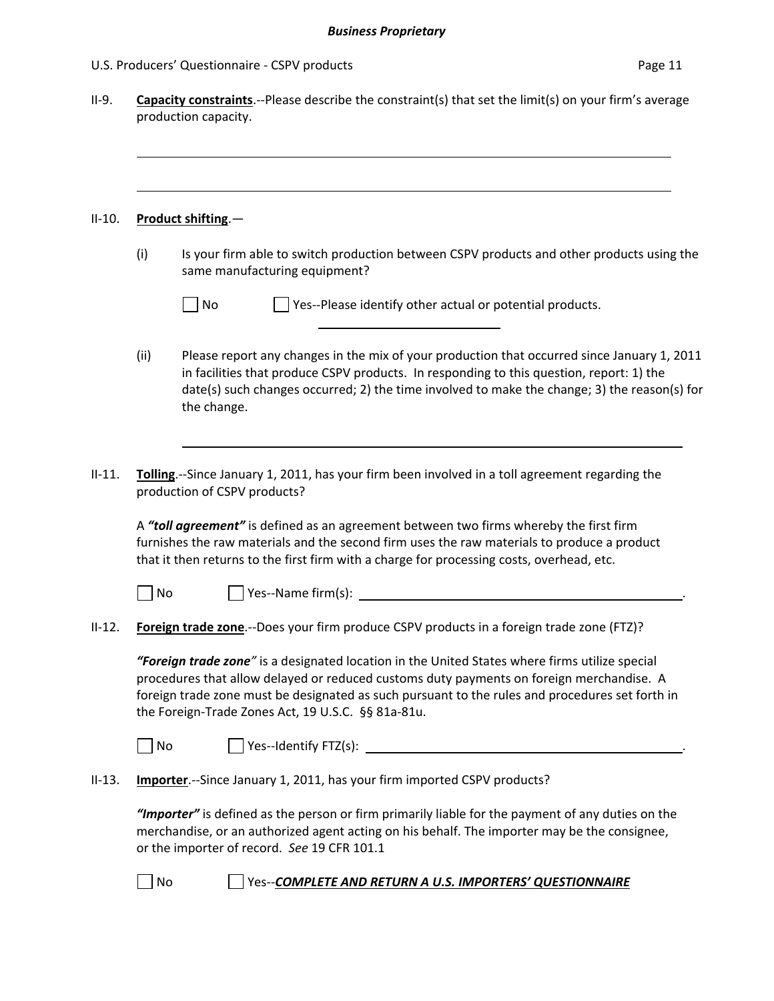| U.S. Producers' Questionnaire - CSPV products | Page 11 |
|-----------------------------------------------|---------|
|-----------------------------------------------|---------|

|      | Product shifting.-                                                                                                                                                                                                                                                                                                                                  |
|------|-----------------------------------------------------------------------------------------------------------------------------------------------------------------------------------------------------------------------------------------------------------------------------------------------------------------------------------------------------|
| (i)  | Is your firm able to switch production between CSPV products and other products using the<br>same manufacturing equipment?                                                                                                                                                                                                                          |
|      | $\Box$ Yes--Please identify other actual or potential products.<br>No                                                                                                                                                                                                                                                                               |
| (ii) | Please report any changes in the mix of your production that occurred since January 1, 2011<br>in facilities that produce CSPV products. In responding to this question, report: 1) the<br>date(s) such changes occurred; 2) the time involved to make the change; 3) the reason(s) for<br>the change.                                              |
|      | Tolling.--Since January 1, 2011, has your firm been involved in a toll agreement regarding the<br>production of CSPV products?                                                                                                                                                                                                                      |
|      | A "toll agreement" is defined as an agreement between two firms whereby the first firm                                                                                                                                                                                                                                                              |
|      | furnishes the raw materials and the second firm uses the raw materials to produce a product<br>that it then returns to the first firm with a charge for processing costs, overhead, etc.                                                                                                                                                            |
|      | No                                                                                                                                                                                                                                                                                                                                                  |
|      | Foreign trade zone.--Does your firm produce CSPV products in a foreign trade zone (FTZ)?                                                                                                                                                                                                                                                            |
|      | "Foreign trade zone" is a designated location in the United States where firms utilize special<br>procedures that allow delayed or reduced customs duty payments on foreign merchandise. A<br>foreign trade zone must be designated as such pursuant to the rules and procedures set forth in<br>the Foreign-Trade Zones Act, 19 U.S.C. §§ 81a-81u. |
|      | No                                                                                                                                                                                                                                                                                                                                                  |
|      | Importer.--Since January 1, 2011, has your firm imported CSPV products?                                                                                                                                                                                                                                                                             |
|      | "Importer" is defined as the person or firm primarily liable for the payment of any duties on the<br>merchandise, or an authorized agent acting on his behalf. The importer may be the consignee,<br>or the importer of record. See 19 CFR 101.1                                                                                                    |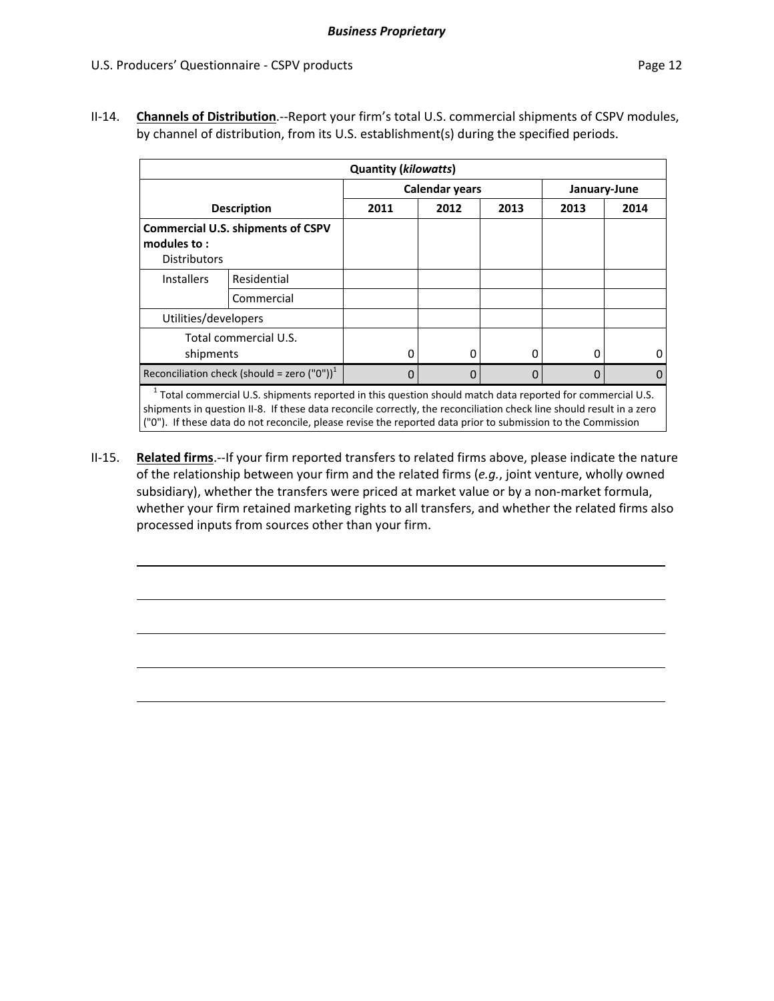II‐14. **Channels of Distribution**.‐‐Report your firm's total U.S. commercial shipments of CSPV modules, by channel of distribution, from its U.S. establishment(s) during the specified periods.

| <b>Quantity (kilowatts)</b>                                                                                                                                                                                                                                                                                                                                   |                                                         |      |      |      |      |      |  |
|---------------------------------------------------------------------------------------------------------------------------------------------------------------------------------------------------------------------------------------------------------------------------------------------------------------------------------------------------------------|---------------------------------------------------------|------|------|------|------|------|--|
| <b>Calendar years</b><br>January-June                                                                                                                                                                                                                                                                                                                         |                                                         |      |      |      |      |      |  |
| <b>Description</b>                                                                                                                                                                                                                                                                                                                                            |                                                         | 2011 | 2012 | 2013 | 2013 | 2014 |  |
| modules to:<br><b>Distributors</b>                                                                                                                                                                                                                                                                                                                            | <b>Commercial U.S. shipments of CSPV</b>                |      |      |      |      |      |  |
| <b>Installers</b>                                                                                                                                                                                                                                                                                                                                             | Residential                                             |      |      |      |      |      |  |
|                                                                                                                                                                                                                                                                                                                                                               | Commercial                                              |      |      |      |      |      |  |
| Utilities/developers                                                                                                                                                                                                                                                                                                                                          |                                                         |      |      |      |      |      |  |
| shipments                                                                                                                                                                                                                                                                                                                                                     | Total commercial U.S.                                   | 0    | O    | 0    | 0    | Ω    |  |
|                                                                                                                                                                                                                                                                                                                                                               | Reconciliation check (should = zero ("0")) <sup>1</sup> | 0    | 0    | 0    | 0    | 0    |  |
| <sup>1</sup> Total commercial U.S. shipments reported in this question should match data reported for commercial U.S.<br>shipments in question II-8. If these data reconcile correctly, the reconciliation check line should result in a zero<br>("0"). If these data do not reconcile, please revise the reported data prior to submission to the Commission |                                                         |      |      |      |      |      |  |

II‐15. **Related firms**.‐‐If your firm reported transfers to related firms above, please indicate the nature of the relationship between your firm and the related firms (*e.g.*, joint venture, wholly owned subsidiary), whether the transfers were priced at market value or by a non-market formula, whether your firm retained marketing rights to all transfers, and whether the related firms also processed inputs from sources other than your firm.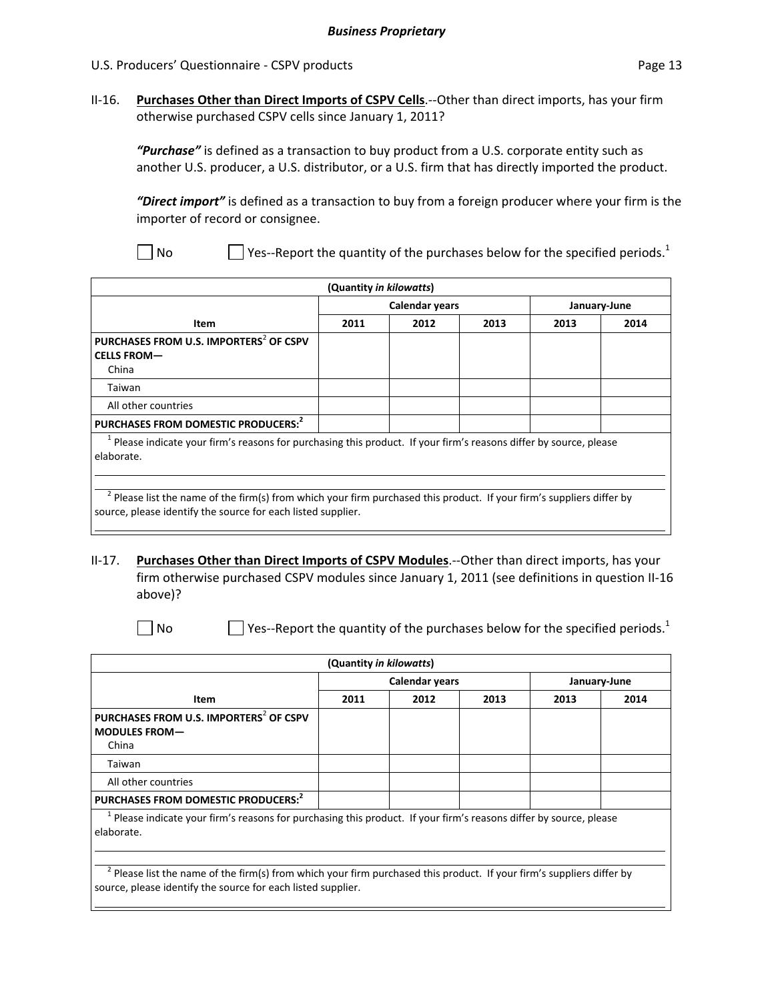II‐16. **Purchases Other than Direct Imports of CSPV Cells**.‐‐Other than direct imports, has your firm otherwise purchased CSPV cells since January 1, 2011?

*"Purchase"* is defined as a transaction to buy product from a U.S. corporate entity such as another U.S. producer, a U.S. distributor, or a U.S. firm that has directly imported the product.

*"Direct import"* is defined as a transaction to buy from a foreign producer where your firm is the importer of record or consignee.

No  $\Box$  Yes--Report the quantity of the purchases below for the specified periods.<sup>1</sup>

| (Quantity in kilowatts)                                                                                                                                                                  |      |                |              |      |      |  |  |
|------------------------------------------------------------------------------------------------------------------------------------------------------------------------------------------|------|----------------|--------------|------|------|--|--|
|                                                                                                                                                                                          |      | Calendar years | January-June |      |      |  |  |
| Item                                                                                                                                                                                     | 2011 | 2012           | 2013         | 2013 | 2014 |  |  |
| PURCHASES FROM U.S. IMPORTERS <sup>2</sup> OF CSPV<br><b>CELLS FROM-</b><br>China                                                                                                        |      |                |              |      |      |  |  |
| Taiwan                                                                                                                                                                                   |      |                |              |      |      |  |  |
| All other countries                                                                                                                                                                      |      |                |              |      |      |  |  |
| PURCHASES FROM DOMESTIC PRODUCERS: <sup>2</sup>                                                                                                                                          |      |                |              |      |      |  |  |
| Please indicate your firm's reasons for purchasing this product. If your firm's reasons differ by source, please<br>elaborate.                                                           |      |                |              |      |      |  |  |
| $^2$ Please list the name of the firm(s) from which your firm purchased this product. If your firm's suppliers differ by<br>source, please identify the source for each listed supplier. |      |                |              |      |      |  |  |

### II‐17. **Purchases Other than Direct Imports of CSPV Modules**.‐‐Other than direct imports, has your firm otherwise purchased CSPV modules since January 1, 2011 (see definitions in question II‐16 above)?

No Ses-Report the quantity of the purchases below for the specified periods.<sup>1</sup>

|                                                                                                                                             | (Quantity in kilowatts) |                       |              |      |      |
|---------------------------------------------------------------------------------------------------------------------------------------------|-------------------------|-----------------------|--------------|------|------|
|                                                                                                                                             |                         | <b>Calendar years</b> | January-June |      |      |
| Item                                                                                                                                        | 2011                    | 2012                  | 2013         | 2013 | 2014 |
| PURCHASES FROM U.S. IMPORTERS <sup>2</sup> OF CSPV<br><b>MODULES FROM-</b><br>China                                                         |                         |                       |              |      |      |
| Taiwan                                                                                                                                      |                         |                       |              |      |      |
| All other countries                                                                                                                         |                         |                       |              |      |      |
| PURCHASES FROM DOMESTIC PRODUCERS: <sup>2</sup>                                                                                             |                         |                       |              |      |      |
| <sup>1</sup> Please indicate your firm's reasons for purchasing this product. If your firm's reasons differ by source, please<br>elaborate. |                         |                       |              |      |      |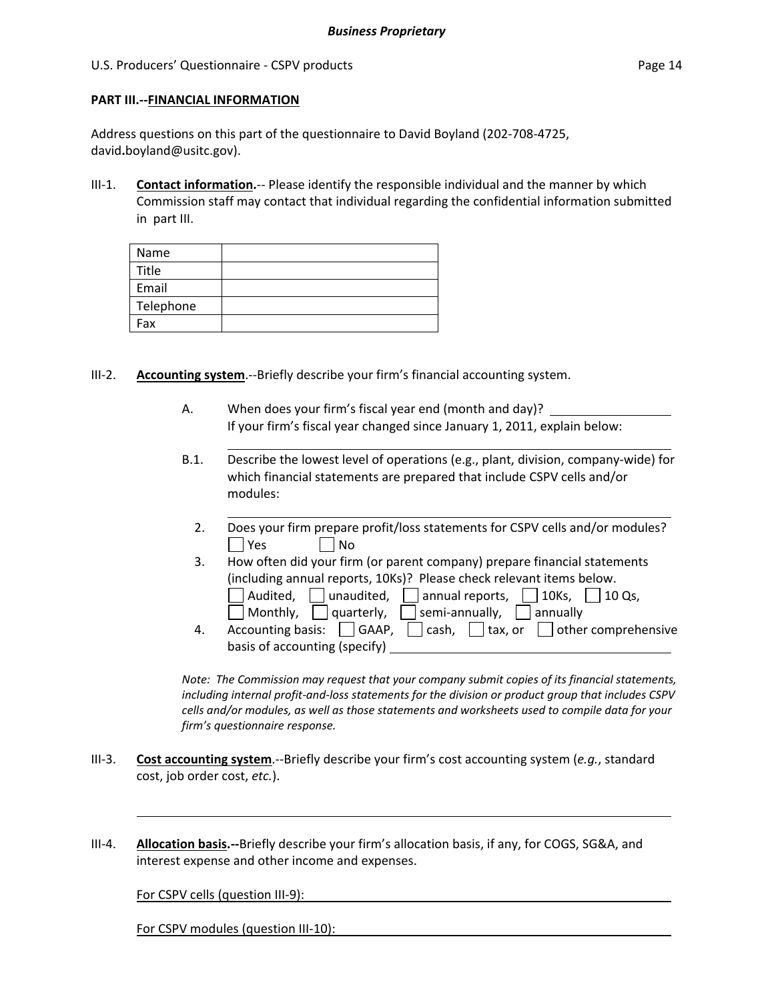### **PART III.‐‐FINANCIAL INFORMATION**

Address questions on this part of the questionnaire to David Boyland (202‐708‐4725, david**.**boyland@usitc.gov).

III-1. **Contact information.**-- Please identify the responsible individual and the manner by which Commission staff may contact that individual regarding the confidential information submitted in part III.

| Name      |  |
|-----------|--|
| Title     |  |
| Email     |  |
| Telephone |  |
| Fax       |  |

- III-2. **Accounting system.**--Briefly describe your firm's financial accounting system.
	- A. When does your firm's fiscal year end (month and day)? If your firm's fiscal year changed since January 1, 2011, explain below:
	- B.1. Describe the lowest level of operations (e.g., plant, division, company‐wide) for which financial statements are prepared that include CSPV cells and/or modules:

<u> 2002 - Jan James Barnett, mars et al. (</u>

- 2. Does your firm prepare profit/loss statements for CSPV cells and/or modules?  $\Box$  Yes  $\Box$  No
- 3. How often did your firm (or parent company) prepare financial statements (including annual reports, 10Ks)? Please check relevant items below.  $\Box$  Audited,  $\Box$  unaudited,  $\Box$  annual reports,  $\Box$  10Ks,  $\Box$  10 Qs,  $\Box$  Monthly,  $\Box$  quarterly,  $\Box$  semi-annually,  $\Box$  annually
- 4. Accounting basis:  $\Box$  GAAP,  $\Box$  cash,  $\Box$  tax, or  $\Box$  other comprehensive basis of accounting (specify)

*Note: The Commission may request that your company submit copies of its financial statements, including internal profit‐and‐loss statements for the division or product group that includes CSPV cells and/or modules, as well as those statements and worksheets used to compile data for your firm's questionnaire response.*

- III‐3. **Cost accounting system**.‐‐Briefly describe your firm's cost accounting system (*e.g.*, standard cost, job order cost, *etc.*).
- III‐4. **Allocation basis.‐‐**Briefly describe your firm's allocation basis, if any, for COGS, SG&A, and interest expense and other income and expenses.

For CSPV cells (question III‐9):

For CSPV modules (question III‐10):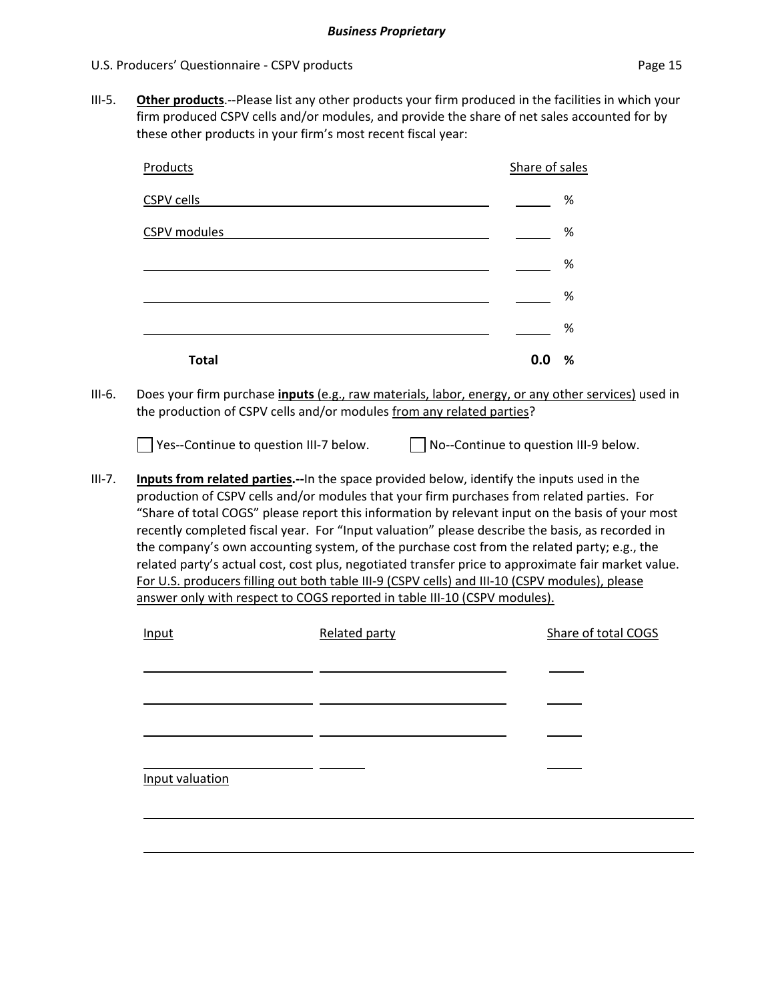III‐5. **Other products**.‐‐Please list any other products your firm produced in the facilities in which your firm produced CSPV cells and/or modules, and provide the share of net sales accounted for by these other products in your firm's most recent fiscal year:

| Products          | Share of sales |
|-------------------|----------------|
| <b>CSPV cells</b> | %              |
| CSPV modules      | $\%$           |
|                   | $\%$           |
|                   | $\%$           |
|                   | %              |
| <b>Total</b>      | 0.0<br>%       |

III‐6. Does your firm purchase **inputs** (e.g., raw materials, labor, energy, or any other services) used in the production of CSPV cells and/or modules from any related parties?

■ Yes--Continue to question III-7 below. ■ No--Continue to question III-9 below.

III‐7. **Inputs from related parties.‐‐**In the space provided below, identify the inputs used in the production of CSPV cells and/or modules that your firm purchases from related parties. For "Share of total COGS" please report this information by relevant input on the basis of your most recently completed fiscal year. For "Input valuation" please describe the basis, as recorded in the company's own accounting system, of the purchase cost from the related party; e.g., the related party's actual cost, cost plus, negotiated transfer price to approximate fair market value. For U.S. producers filling out both table III‐9 (CSPV cells) and III‐10 (CSPV modules), please answer only with respect to COGS reported in table III-10 (CSPV modules).

| Input           | Related party | Share of total COGS |
|-----------------|---------------|---------------------|
|                 |               |                     |
|                 |               |                     |
|                 |               |                     |
|                 |               |                     |
|                 |               |                     |
| Input valuation |               |                     |
|                 |               |                     |
|                 |               |                     |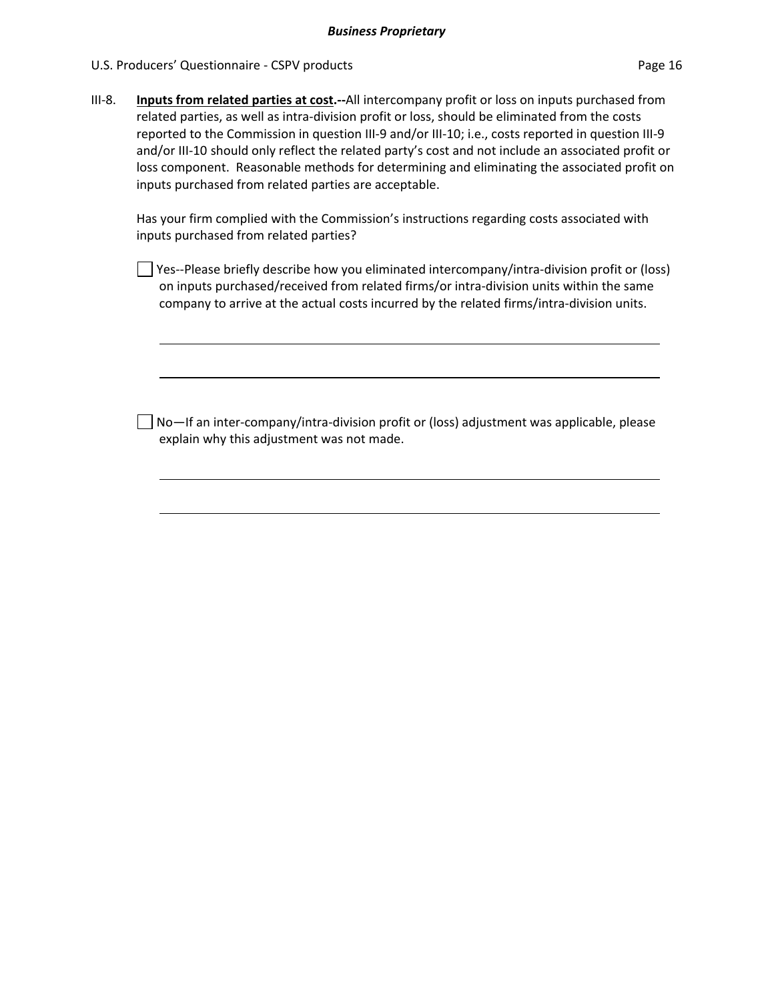### U.S. Producers' Questionnaire - CSPV products **Page 16** and Page 16

III‐8. **Inputs from related parties at cost.‐‐**All intercompany profit or loss on inputs purchased from related parties, as well as intra-division profit or loss, should be eliminated from the costs reported to the Commission in question III‐9 and/or III‐10; i.e., costs reported in question III‐9 and/or III‐10 should only reflect the related party's cost and not include an associated profit or loss component. Reasonable methods for determining and eliminating the associated profit on inputs purchased from related parties are acceptable.

Has your firm complied with the Commission's instructions regarding costs associated with inputs purchased from related parties?

□ Yes--Please briefly describe how you eliminated intercompany/intra-division profit or (loss) on inputs purchased/received from related firms/or intra‐division units within the same company to arrive at the actual costs incurred by the related firms/intra‐division units.

No—If an inter‐company/intra‐division profit or (loss) adjustment was applicable, please explain why this adjustment was not made.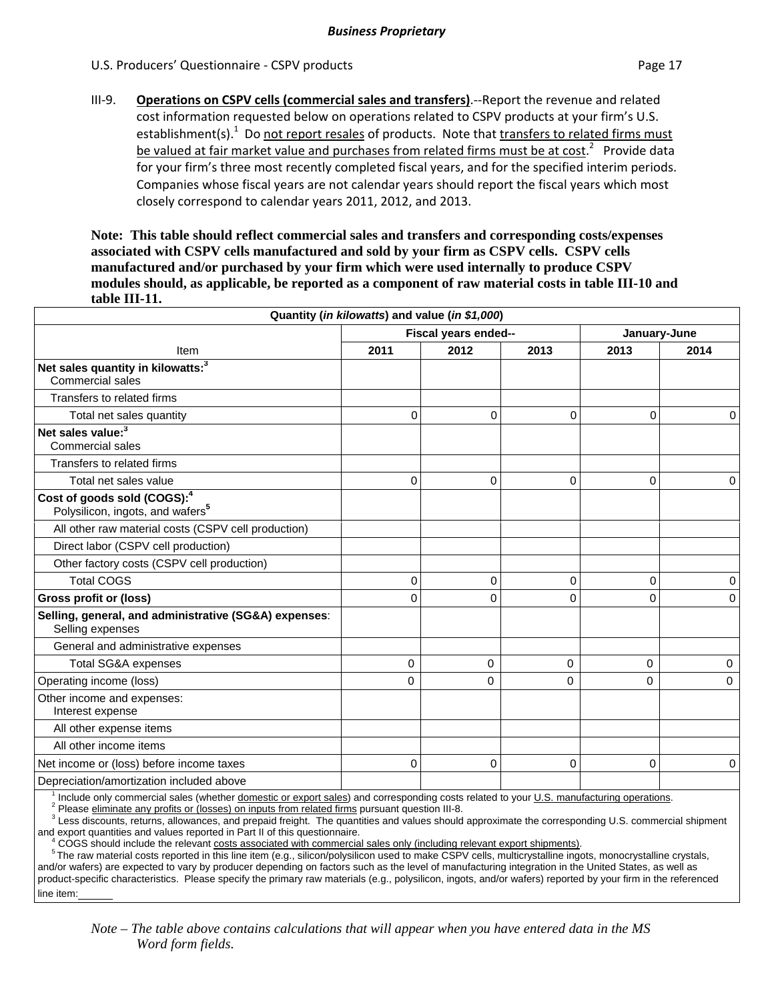III‐9. **Operations on CSPV cells (commercial sales and transfers)**.‐‐Report the revenue and related cost information requested below on operations related to CSPV products at your firm's U.S. establishment(s).<sup>1</sup> Do not report resales of products. Note that transfers to related firms must be valued at fair market value and purchases from related firms must be at cost.<sup>2</sup> Provide data for your firm's three most recently completed fiscal years, and for the specified interim periods. Companies whose fiscal years are not calendar years should report the fiscal years which most closely correspond to calendar years 2011, 2012, and 2013.

**Note: This table should reflect commercial sales and transfers and corresponding costs/expenses associated with CSPV cells manufactured and sold by your firm as CSPV cells. CSPV cells manufactured and/or purchased by your firm which were used internally to produce CSPV modules should, as applicable, be reported as a component of raw material costs in table III-10 and table III-11.** 

| Quantity (in kilowatts) and value (in \$1,000)                                                                                          |      |                      |              |          |                |  |  |
|-----------------------------------------------------------------------------------------------------------------------------------------|------|----------------------|--------------|----------|----------------|--|--|
|                                                                                                                                         |      | Fiscal years ended-- | January-June |          |                |  |  |
| Item                                                                                                                                    | 2011 | 2012                 | 2013         | 2013     | 2014           |  |  |
| Net sales quantity in kilowatts: <sup>3</sup><br>Commercial sales                                                                       |      |                      |              |          |                |  |  |
| Transfers to related firms                                                                                                              |      |                      |              |          |                |  |  |
| Total net sales quantity                                                                                                                | 0    | $\mathbf 0$          | 0            | $\Omega$ | $\overline{0}$ |  |  |
| Net sales value: <sup>3</sup><br><b>Commercial sales</b>                                                                                |      |                      |              |          |                |  |  |
| Transfers to related firms                                                                                                              |      |                      |              |          |                |  |  |
| Total net sales value                                                                                                                   | 0    | 0                    | 0            | 0        | 0              |  |  |
| Cost of goods sold (COGS): <sup>4</sup><br>Polysilicon, ingots, and wafers <sup>5</sup>                                                 |      |                      |              |          |                |  |  |
| All other raw material costs (CSPV cell production)                                                                                     |      |                      |              |          |                |  |  |
| Direct labor (CSPV cell production)                                                                                                     |      |                      |              |          |                |  |  |
| Other factory costs (CSPV cell production)                                                                                              |      |                      |              |          |                |  |  |
| <b>Total COGS</b>                                                                                                                       | 0    | 0                    | 0            | 0        | $\mathbf 0$    |  |  |
| Gross profit or (loss)                                                                                                                  | 0    | $\Omega$             | 0            | 0        | $\Omega$       |  |  |
| Selling, general, and administrative (SG&A) expenses:<br>Selling expenses                                                               |      |                      |              |          |                |  |  |
| General and administrative expenses                                                                                                     |      |                      |              |          |                |  |  |
| <b>Total SG&amp;A expenses</b>                                                                                                          | 0    | 0                    | 0            | 0        | $\mathbf 0$    |  |  |
| Operating income (loss)                                                                                                                 | 0    | $\Omega$             | 0            | 0        | $\Omega$       |  |  |
| Other income and expenses:<br>Interest expense                                                                                          |      |                      |              |          |                |  |  |
| All other expense items                                                                                                                 |      |                      |              |          |                |  |  |
| All other income items                                                                                                                  |      |                      |              |          |                |  |  |
| Net income or (loss) before income taxes                                                                                                | 0    | $\Omega$             | 0            | 0        | $\overline{0}$ |  |  |
| Depreciation/amortization included above                                                                                                |      |                      |              |          |                |  |  |
| Include only commercial sales (whether domestic or export sales) and corresponding costs related to your U.S. manufacturing operations. |      |                      |              |          |                |  |  |

<sup>2</sup> Please eliminate any profits or (losses) on inputs from related firms pursuant question III-8.

<sup>3</sup> Less discounts, returns, allowances, and prepaid freight. The quantities and values should approximate the corresponding U.S. commercial shipment

and export quantities and values reported in Part II of this questionnaire.

<sup>4</sup> COGS should include the relevant costs associated with commercial sales only (including relevant export shipments).

<sup>5</sup> The raw material costs reported in this line item (e.g., silicon/polysilicon used to make CSPV cells, multicrystalline ingots, monocrystalline crystals, and/or wafers) are expected to vary by producer depending on factors such as the level of manufacturing integration in the United States, as well as product-specific characteristics. Please specify the primary raw materials (e.g., polysilicon, ingots, and/or wafers) reported by your firm in the referenced line item:

*Note – The table above contains calculations that will appear when you have entered data in the MS Word form fields.*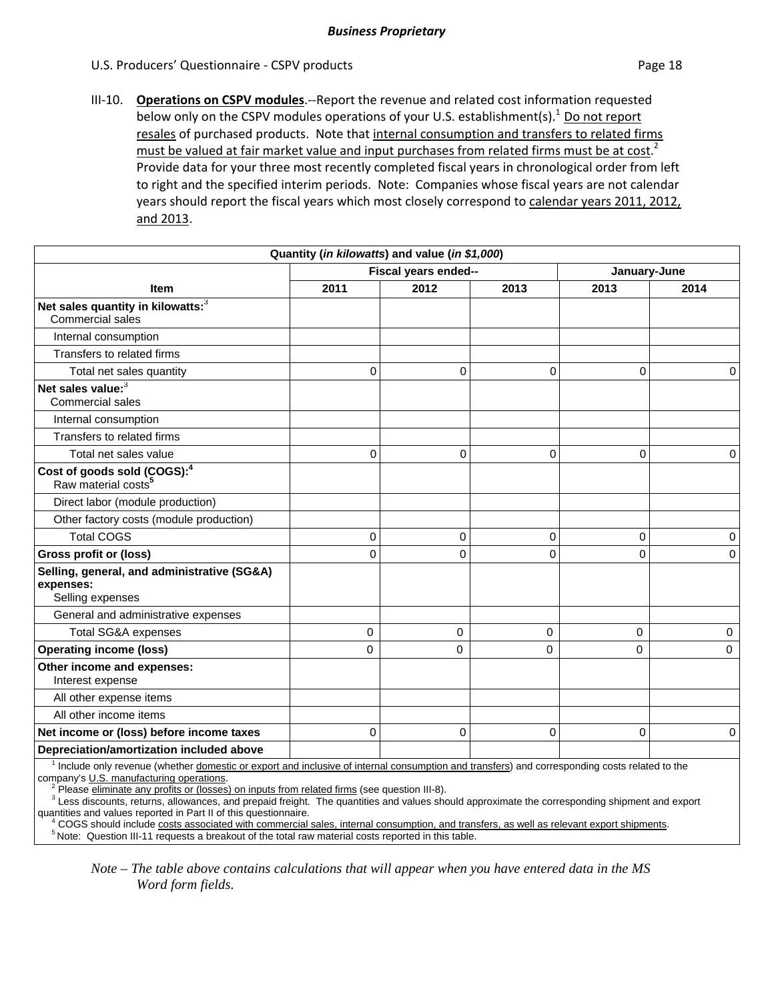III‐10. **Operations on CSPV modules**.‐‐Report the revenue and related cost information requested below only on the CSPV modules operations of your U.S. establishment(s). $1$  Do not report resales of purchased products. Note that internal consumption and transfers to related firms must be valued at fair market value and input purchases from related firms must be at cost.<sup>2</sup> Provide data for your three most recently completed fiscal years in chronological order from left to right and the specified interim periods. Note: Companies whose fiscal years are not calendar years should report the fiscal years which most closely correspond to calendar years 2011, 2012, and 2013.

|                                                                              | Quantity (in kilowatts) and value (in \$1,000) |                      |             |              |             |
|------------------------------------------------------------------------------|------------------------------------------------|----------------------|-------------|--------------|-------------|
|                                                                              |                                                | Fiscal years ended-- |             | January-June |             |
| Item                                                                         | 2011                                           | 2012                 | 2013        | 2013         | 2014        |
| Net sales quantity in kilowatts: <sup>3</sup><br>Commercial sales            |                                                |                      |             |              |             |
| Internal consumption                                                         |                                                |                      |             |              |             |
| Transfers to related firms                                                   |                                                |                      |             |              |             |
| Total net sales quantity                                                     | 0                                              | 0                    | 0           | 0            | 0           |
| Net sales value: <sup>3</sup><br><b>Commercial sales</b>                     |                                                |                      |             |              |             |
| Internal consumption                                                         |                                                |                      |             |              |             |
| Transfers to related firms                                                   |                                                |                      |             |              |             |
| Total net sales value                                                        | 0                                              | 0                    | 0           | 0            | 0           |
| Cost of goods sold (COGS): <sup>4</sup><br>Raw material costs <sup>5</sup>   |                                                |                      |             |              |             |
| Direct labor (module production)                                             |                                                |                      |             |              |             |
| Other factory costs (module production)                                      |                                                |                      |             |              |             |
| <b>Total COGS</b>                                                            | 0                                              | 0                    | 0           | 0            | 0           |
| <b>Gross profit or (loss)</b>                                                | 0                                              | 0                    | 0           | 0            | 0           |
| Selling, general, and administrative (SG&A)<br>expenses:<br>Selling expenses |                                                |                      |             |              |             |
| General and administrative expenses                                          |                                                |                      |             |              |             |
| <b>Total SG&amp;A expenses</b>                                               | 0                                              | 0                    | 0           | 0            | 0           |
| <b>Operating income (loss)</b>                                               | 0                                              | $\Omega$             | 0           | $\mathbf 0$  | $\mathbf 0$ |
| Other income and expenses:<br>Interest expense                               |                                                |                      |             |              |             |
| All other expense items                                                      |                                                |                      |             |              |             |
| All other income items                                                       |                                                |                      |             |              |             |
| Net income or (loss) before income taxes                                     | 0                                              | 0                    | $\mathbf 0$ | 0            | 0           |
| Depreciation/amortization included above                                     |                                                |                      |             |              |             |
| 1 the electric ended a second contract for the end electric                  | وتقيمة تكلمن المرودة مروا مرمودة المرموس تقويم |                      |             |              |             |

 $\overline{1}$  Include only revenue (whether domestic or export and inclusive of internal consumption and transfers) and corresponding costs related to the company's U.S. manufacturing operations.

Please eliminate any profits or (losses) on inputs from related firms (see question III-8).

<sup>3</sup> Less discounts, returns, allowances, and prepaid freight. The quantities and values should approximate the corresponding shipment and export quantities and values reported in Part II of this questionnaire.

 $\frac{1}{4}$  COGS should include costs associated with commercial sales, internal consumption, and transfers, as well as relevant export shipments. <sup>5</sup> Note: Question III-11 requests a breakout of the total raw material costs reported in this table.

*Note – The table above contains calculations that will appear when you have entered data in the MS Word form fields.*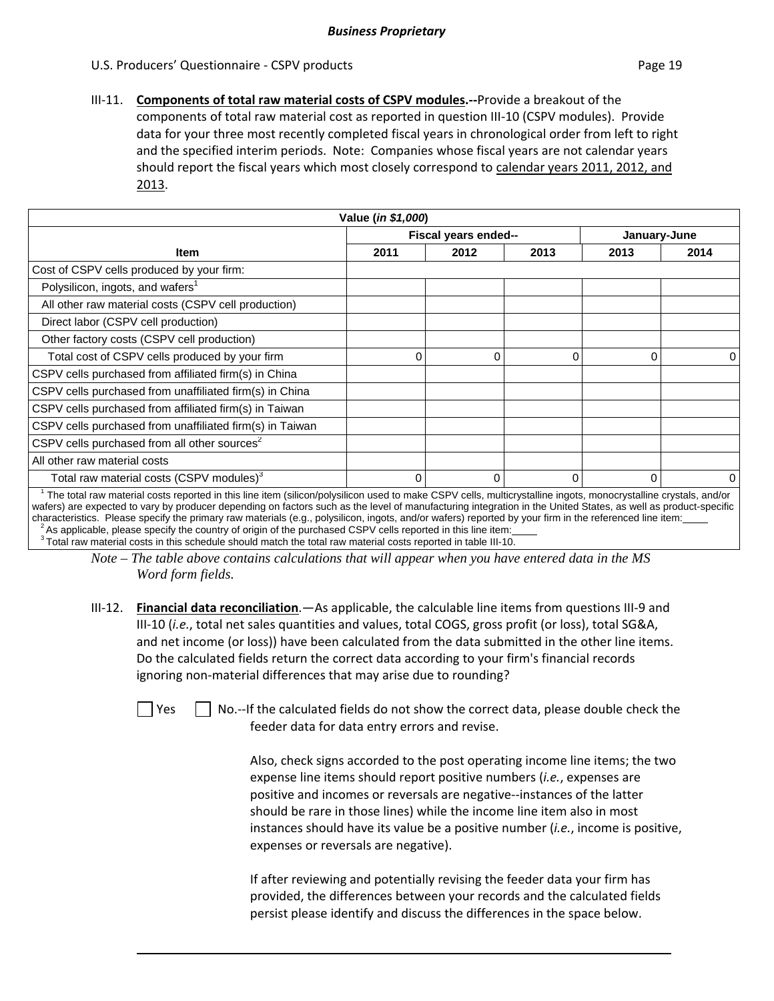III‐11. **Components of total raw material costs of CSPV modules.‐‐**Provide a breakout of the components of total raw material cost as reported in question III‐10 (CSPV modules). Provide data for your three most recently completed fiscal years in chronological order from left to right and the specified interim periods. Note: Companies whose fiscal years are not calendar years should report the fiscal years which most closely correspond to calendar years 2011, 2012, and 2013.

| Value (in \$1,000)                                                                                                                                              |                                      |              |          |      |                |  |
|-----------------------------------------------------------------------------------------------------------------------------------------------------------------|--------------------------------------|--------------|----------|------|----------------|--|
|                                                                                                                                                                 | Fiscal years ended--<br>January-June |              |          |      |                |  |
| <b>Item</b>                                                                                                                                                     | 2011                                 | 2012         | 2013     | 2013 | 2014           |  |
| Cost of CSPV cells produced by your firm:                                                                                                                       |                                      |              |          |      |                |  |
| Polysilicon, ingots, and wafers <sup>1</sup>                                                                                                                    |                                      |              |          |      |                |  |
| All other raw material costs (CSPV cell production)                                                                                                             |                                      |              |          |      |                |  |
| Direct labor (CSPV cell production)                                                                                                                             |                                      |              |          |      |                |  |
| Other factory costs (CSPV cell production)                                                                                                                      |                                      |              |          |      |                |  |
| Total cost of CSPV cells produced by your firm                                                                                                                  | 0                                    | 0            | 0        | 0    | $\overline{0}$ |  |
| CSPV cells purchased from affiliated firm(s) in China                                                                                                           |                                      |              |          |      |                |  |
| CSPV cells purchased from unaffiliated firm(s) in China                                                                                                         |                                      |              |          |      |                |  |
| CSPV cells purchased from affiliated firm(s) in Taiwan                                                                                                          |                                      |              |          |      |                |  |
| CSPV cells purchased from unaffiliated firm(s) in Taiwan                                                                                                        |                                      |              |          |      |                |  |
| CSPV cells purchased from all other sources <sup>2</sup>                                                                                                        |                                      |              |          |      |                |  |
| All other raw material costs                                                                                                                                    |                                      |              |          |      |                |  |
| Total raw material costs (CSPV modules) <sup>3</sup>                                                                                                            | 0                                    | $\mathbf{0}$ | $\Omega$ | 0    | $\Omega$       |  |
| The total raw material costs reported in this line item (silicon/polysilicon used to make CSPV cells, multicrystalline ingots, monocrystalline crystals, and/or |                                      |              |          |      |                |  |

 The total raw material costs reported in this line item (silicon/polysilicon used to make CSPV cells, multicrystalline ingots, monocrystalline crystals, and/or wafers) are expected to vary by producer depending on factors such as the level of manufacturing integration in the United States, as well as product-specific characteristics. Please specify the primary raw materials (e.g.  $^2$ As applicable, please specify the country of origin of the purchased CSPV cells reported in this line item:<br>3 Total raw material costs in this schedule should match the total raw material costs reported in table III-1

*Note – The table above contains calculations that will appear when you have entered data in the MS Word form fields.* 

III‐12. **Financial data reconciliation**.—As applicable, the calculable line items from questions III‐9 and III-10 (*i.e.*, total net sales quantities and values, total COGS, gross profit (or loss), total SG&A, and net income (or loss)) have been calculated from the data submitted in the other line items. Do the calculated fields return the correct data according to your firm's financial records ignoring non-material differences that may arise due to rounding?

 $\Box$  Yes  $\Box$  No.--If the calculated fields do not show the correct data, please double check the feeder data for data entry errors and revise.

> Also, check signs accorded to the post operating income line items; the two expense line items should report positive numbers (*i.e.*, expenses are positive and incomes or reversals are negative‐‐instances of the latter should be rare in those lines) while the income line item also in most instances should have its value be a positive number (*i.e.*, income is positive, expenses or reversals are negative).

If after reviewing and potentially revising the feeder data your firm has provided, the differences between your records and the calculated fields persist please identify and discuss the differences in the space below.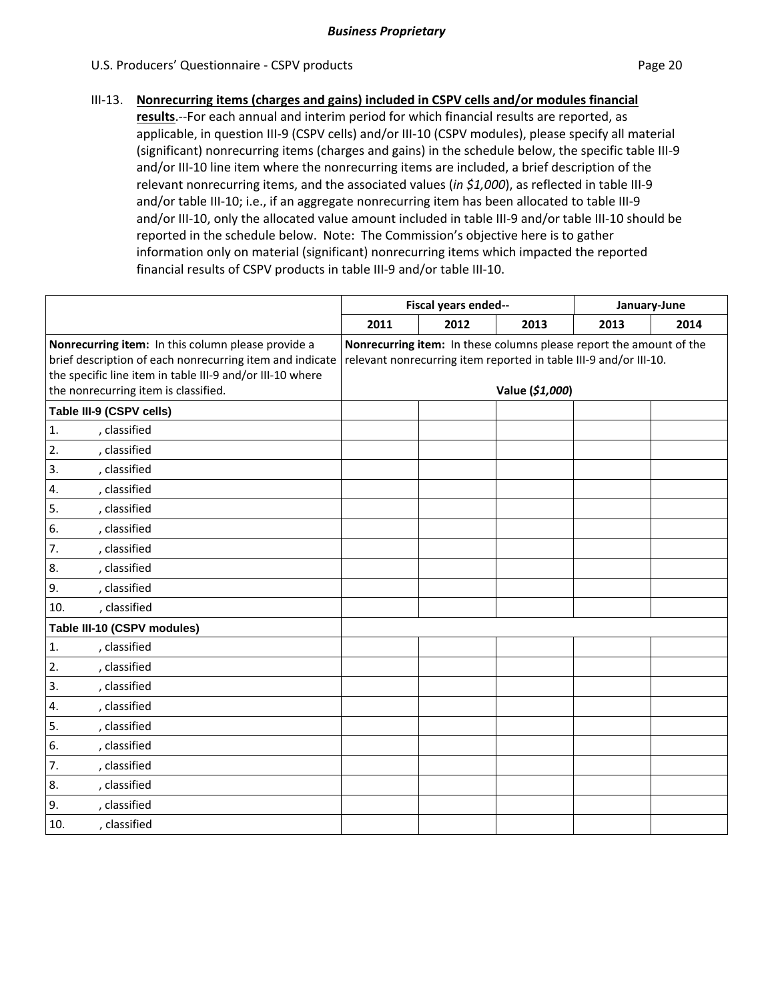### III‐13. **Nonrecurring items (charges and gains) included in CSPV cells and/or modules financial**

**results**.‐‐For each annual and interim period for which financial results are reported, as applicable, in question III-9 (CSPV cells) and/or III-10 (CSPV modules), please specify all material (significant) nonrecurring items (charges and gains) in the schedule below, the specific table III‐9 and/or III-10 line item where the nonrecurring items are included, a brief description of the relevant nonrecurring items, and the associated values (*in \$1,000*), as reflected in table III‐9 and/or table III-10; i.e., if an aggregate nonrecurring item has been allocated to table III-9 and/or III‐10, only the allocated value amount included in table III‐9 and/or table III‐10 should be reported in the schedule below. Note: The Commission's objective here is to gather information only on material (significant) nonrecurring items which impacted the reported financial results of CSPV products in table III‐9 and/or table III‐10.

|                                                                                                                                                                                                                     |                                                                                                                                                             | Fiscal years ended-- |      |      | January-June |
|---------------------------------------------------------------------------------------------------------------------------------------------------------------------------------------------------------------------|-------------------------------------------------------------------------------------------------------------------------------------------------------------|----------------------|------|------|--------------|
|                                                                                                                                                                                                                     | 2011                                                                                                                                                        | 2012                 | 2013 | 2013 | 2014         |
| Nonrecurring item: In this column please provide a<br>brief description of each nonrecurring item and indicate<br>the specific line item in table III-9 and/or III-10 where<br>the nonrecurring item is classified. | Nonrecurring item: In these columns please report the amount of the<br>relevant nonrecurring item reported in table III-9 and/or III-10.<br>Value (\$1,000) |                      |      |      |              |
| Table III-9 (CSPV cells)                                                                                                                                                                                            |                                                                                                                                                             |                      |      |      |              |
| 1.<br>, classified                                                                                                                                                                                                  |                                                                                                                                                             |                      |      |      |              |
| 2.<br>, classified                                                                                                                                                                                                  |                                                                                                                                                             |                      |      |      |              |
| 3.<br>, classified                                                                                                                                                                                                  |                                                                                                                                                             |                      |      |      |              |
| , classified<br>4.                                                                                                                                                                                                  |                                                                                                                                                             |                      |      |      |              |
| 5.<br>, classified                                                                                                                                                                                                  |                                                                                                                                                             |                      |      |      |              |
| 6.<br>, classified                                                                                                                                                                                                  |                                                                                                                                                             |                      |      |      |              |
| 7.<br>, classified                                                                                                                                                                                                  |                                                                                                                                                             |                      |      |      |              |
| 8.<br>, classified                                                                                                                                                                                                  |                                                                                                                                                             |                      |      |      |              |
| 9.<br>, classified                                                                                                                                                                                                  |                                                                                                                                                             |                      |      |      |              |
| , classified<br>10.                                                                                                                                                                                                 |                                                                                                                                                             |                      |      |      |              |
| Table III-10 (CSPV modules)                                                                                                                                                                                         |                                                                                                                                                             |                      |      |      |              |
| , classified<br>1.                                                                                                                                                                                                  |                                                                                                                                                             |                      |      |      |              |
| 2.<br>, classified                                                                                                                                                                                                  |                                                                                                                                                             |                      |      |      |              |
| 3.<br>, classified                                                                                                                                                                                                  |                                                                                                                                                             |                      |      |      |              |
| 4.<br>, classified                                                                                                                                                                                                  |                                                                                                                                                             |                      |      |      |              |
| 5.<br>, classified                                                                                                                                                                                                  |                                                                                                                                                             |                      |      |      |              |
| 6.<br>, classified                                                                                                                                                                                                  |                                                                                                                                                             |                      |      |      |              |
| 7.<br>, classified                                                                                                                                                                                                  |                                                                                                                                                             |                      |      |      |              |
| 8.<br>, classified                                                                                                                                                                                                  |                                                                                                                                                             |                      |      |      |              |
| 9.<br>, classified                                                                                                                                                                                                  |                                                                                                                                                             |                      |      |      |              |
| 10.<br>, classified                                                                                                                                                                                                 |                                                                                                                                                             |                      |      |      |              |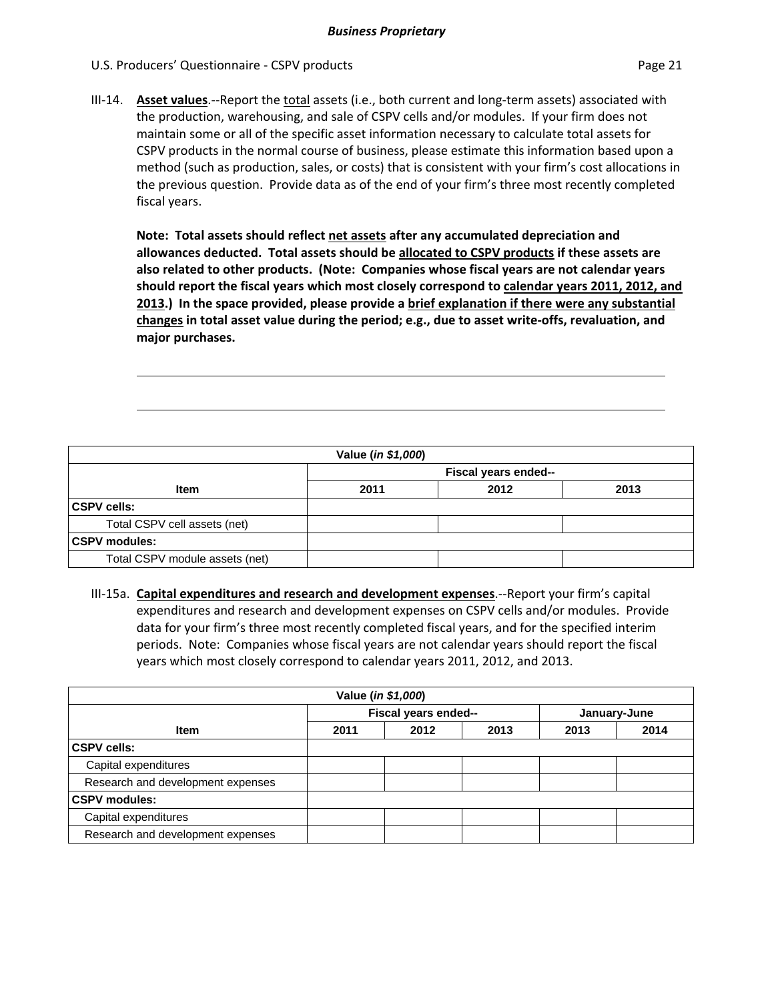III-14. **Asset values**.--Report the total assets (i.e., both current and long-term assets) associated with the production, warehousing, and sale of CSPV cells and/or modules. If your firm does not maintain some or all of the specific asset information necessary to calculate total assets for CSPV products in the normal course of business, please estimate this information based upon a method (such as production, sales, or costs) that is consistent with your firm's cost allocations in the previous question. Provide data as of the end of your firm's three most recently completed fiscal years.

**Note: Total assets should reflect net assets after any accumulated depreciation and allowances deducted. Total assets should be allocated to CSPV products if these assets are also related to other products. (Note: Companies whose fiscal years are not calendar years should report the fiscal years which most closely correspond to calendar years 2011, 2012, and 2013.) In the space provided, please provide a brief explanation if there were any substantial changes in total asset value during the period; e.g., due to asset write‐offs, revaluation, and major purchases.**

| Value (in \$1,000)             |      |                      |      |  |  |
|--------------------------------|------|----------------------|------|--|--|
|                                |      | Fiscal years ended-- |      |  |  |
| <b>Item</b>                    | 2011 | 2012                 | 2013 |  |  |
| <b>CSPV cells:</b>             |      |                      |      |  |  |
| Total CSPV cell assets (net)   |      |                      |      |  |  |
| <b>CSPV</b> modules:           |      |                      |      |  |  |
| Total CSPV module assets (net) |      |                      |      |  |  |

III‐15a. **Capital expenditures and research and development expenses**.‐‐Report your firm's capital expenditures and research and development expenses on CSPV cells and/or modules. Provide data for your firm's three most recently completed fiscal years, and for the specified interim periods. Note: Companies whose fiscal years are not calendar years should report the fiscal years which most closely correspond to calendar years 2011, 2012, and 2013.

| Value (in \$1,000)                |      |                      |      |      |              |
|-----------------------------------|------|----------------------|------|------|--------------|
|                                   |      | Fiscal years ended-- |      |      | January-June |
| <b>Item</b>                       | 2011 | 2012                 | 2013 | 2013 | 2014         |
| <b>CSPV cells:</b>                |      |                      |      |      |              |
| Capital expenditures              |      |                      |      |      |              |
| Research and development expenses |      |                      |      |      |              |
| <b>CSPV modules:</b>              |      |                      |      |      |              |
| Capital expenditures              |      |                      |      |      |              |
| Research and development expenses |      |                      |      |      |              |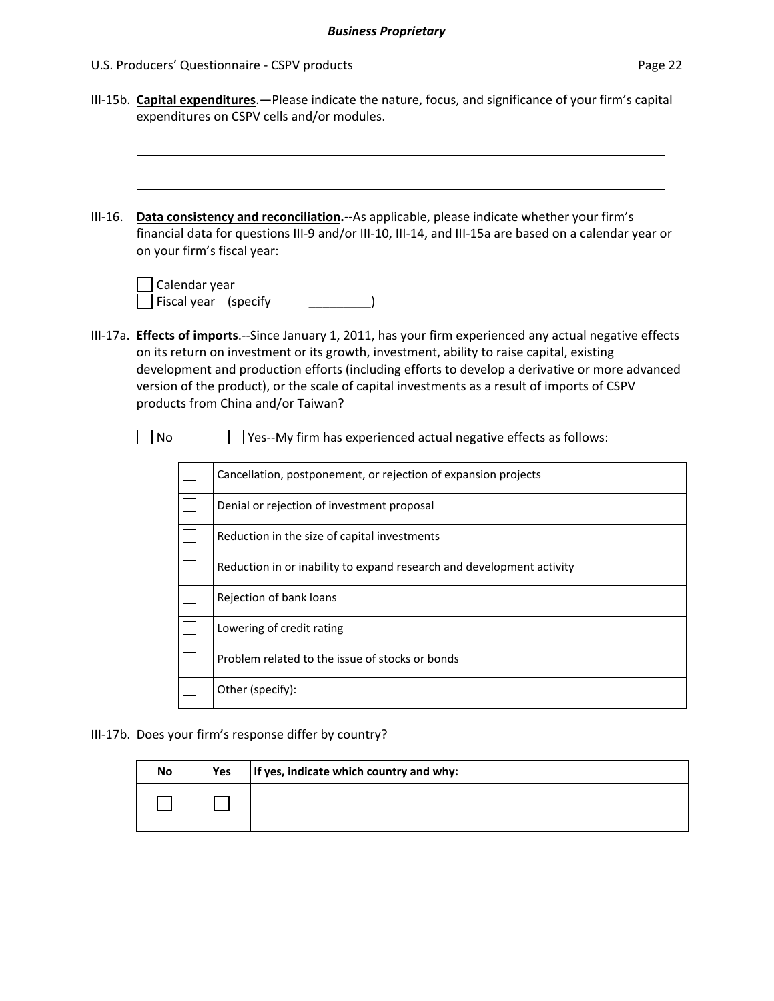|           | U.S. Producers' Questionnaire - CSPV products<br>Page 22                                                                                                  |                  |                                                                                                                                                                                                                                                                                                                                                                                                                                                |  |  |  |  |  |  |
|-----------|-----------------------------------------------------------------------------------------------------------------------------------------------------------|------------------|------------------------------------------------------------------------------------------------------------------------------------------------------------------------------------------------------------------------------------------------------------------------------------------------------------------------------------------------------------------------------------------------------------------------------------------------|--|--|--|--|--|--|
|           | III-15b. Capital expenditures. - Please indicate the nature, focus, and significance of your firm's capital<br>expenditures on CSPV cells and/or modules. |                  |                                                                                                                                                                                                                                                                                                                                                                                                                                                |  |  |  |  |  |  |
| $III-16.$ | on your firm's fiscal year:                                                                                                                               | Calendar year    | Data consistency and reconciliation.--As applicable, please indicate whether your firm's<br>financial data for questions III-9 and/or III-10, III-14, and III-15a are based on a calendar year or                                                                                                                                                                                                                                              |  |  |  |  |  |  |
|           |                                                                                                                                                           |                  | Fiscal year (specify ____________                                                                                                                                                                                                                                                                                                                                                                                                              |  |  |  |  |  |  |
|           |                                                                                                                                                           |                  | III-17a. Effects of imports.--Since January 1, 2011, has your firm experienced any actual negative effects<br>on its return on investment or its growth, investment, ability to raise capital, existing<br>development and production efforts (including efforts to develop a derivative or more advanced<br>version of the product), or the scale of capital investments as a result of imports of CSPV<br>products from China and/or Taiwan? |  |  |  |  |  |  |
|           | No                                                                                                                                                        |                  | Yes--My firm has experienced actual negative effects as follows:                                                                                                                                                                                                                                                                                                                                                                               |  |  |  |  |  |  |
|           |                                                                                                                                                           |                  | Cancellation, postponement, or rejection of expansion projects                                                                                                                                                                                                                                                                                                                                                                                 |  |  |  |  |  |  |
|           |                                                                                                                                                           |                  | Denial or rejection of investment proposal                                                                                                                                                                                                                                                                                                                                                                                                     |  |  |  |  |  |  |
|           |                                                                                                                                                           |                  | Reduction in the size of capital investments                                                                                                                                                                                                                                                                                                                                                                                                   |  |  |  |  |  |  |
|           |                                                                                                                                                           |                  | Reduction in or inability to expand research and development activity                                                                                                                                                                                                                                                                                                                                                                          |  |  |  |  |  |  |
|           |                                                                                                                                                           |                  | Rejection of bank loans                                                                                                                                                                                                                                                                                                                                                                                                                        |  |  |  |  |  |  |
|           | $\Box$                                                                                                                                                    |                  | Lowering of credit rating                                                                                                                                                                                                                                                                                                                                                                                                                      |  |  |  |  |  |  |
|           |                                                                                                                                                           |                  | Problem related to the issue of stocks or bonds                                                                                                                                                                                                                                                                                                                                                                                                |  |  |  |  |  |  |
|           |                                                                                                                                                           | Other (specify): |                                                                                                                                                                                                                                                                                                                                                                                                                                                |  |  |  |  |  |  |
|           |                                                                                                                                                           |                  | III-17b. Does your firm's response differ by country?                                                                                                                                                                                                                                                                                                                                                                                          |  |  |  |  |  |  |
|           | No                                                                                                                                                        | Yes              | If yes, indicate which country and why:                                                                                                                                                                                                                                                                                                                                                                                                        |  |  |  |  |  |  |
|           |                                                                                                                                                           |                  |                                                                                                                                                                                                                                                                                                                                                                                                                                                |  |  |  |  |  |  |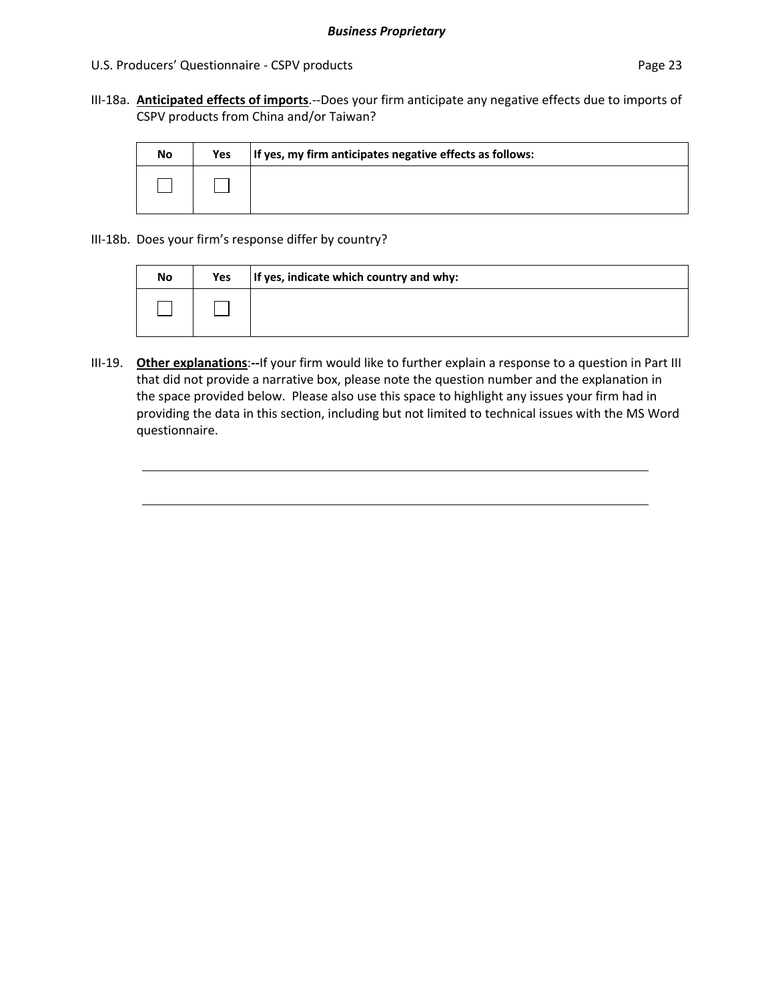III‐18a. **Anticipated effects of imports**.‐‐Does your firm anticipate any negative effects due to imports of CSPV products from China and/or Taiwan?

| No | Yes | If yes, my firm anticipates negative effects as follows: |
|----|-----|----------------------------------------------------------|
|    |     |                                                          |

III‐18b. Does your firm's response differ by country?

<u>and a strategic product</u>

| No | Yes | If yes, indicate which country and why: |
|----|-----|-----------------------------------------|
|    |     |                                         |

III‐19. **Other explanations**:**‐‐**If your firm would like to further explain a response to a question in Part III that did not provide a narrative box, please note the question number and the explanation in the space provided below. Please also use this space to highlight any issues your firm had in providing the data in this section, including but not limited to technical issues with the MS Word questionnaire.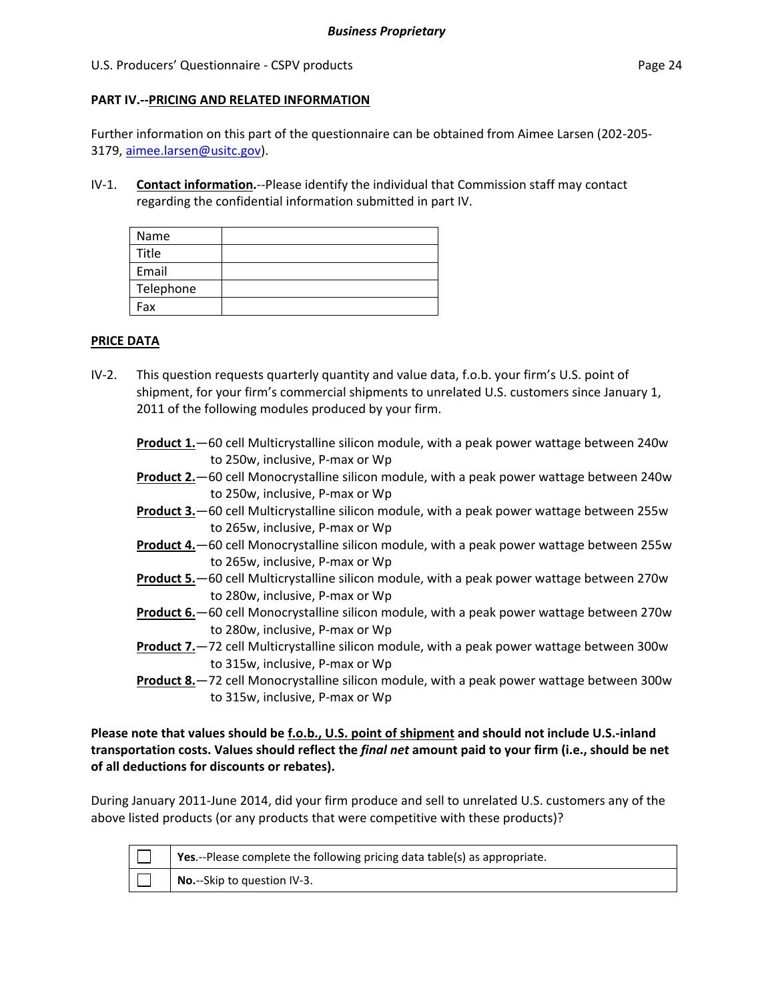### **PART IV.‐‐PRICING AND RELATED INFORMATION**

Further information on this part of the questionnaire can be obtained from Aimee Larsen (202‐205‐ 3179, aimee.larsen@usitc.gov).

IV‐1. **Contact information.**‐‐Please identify the individual that Commission staff may contact regarding the confidential information submitted in part IV.

| Name      |  |
|-----------|--|
| Title     |  |
| Email     |  |
| Telephone |  |
| Fax       |  |

### **PRICE DATA**

- IV-2. This question requests quarterly quantity and value data, f.o.b. your firm's U.S. point of shipment, for your firm's commercial shipments to unrelated U.S. customers since January 1, 2011 of the following modules produced by your firm.
	- **Product 1.**—60 cell Multicrystalline silicon module, with a peak power wattage between 240w to 250w, inclusive, P‐max or Wp
	- **Product 2.**—60 cell Monocrystalline silicon module, with a peak power wattage between 240w to 250w, inclusive, P‐max or Wp
	- **Product 3.**—60 cell Multicrystalline silicon module, with a peak power wattage between 255w to 265w, inclusive, P‐max or Wp
	- **Product 4.**—60 cell Monocrystalline silicon module, with a peak power wattage between 255w to 265w, inclusive, P‐max or Wp
	- **Product 5.**—60 cell Multicrystalline silicon module, with a peak power wattage between 270w to 280w, inclusive, P‐max or Wp
	- **Product 6.**—60 cell Monocrystalline silicon module, with a peak power wattage between 270w to 280w, inclusive, P‐max or Wp
	- **Product 7.**—72 cell Multicrystalline silicon module, with a peak power wattage between 300w to 315w, inclusive, P‐max or Wp
	- **Product 8.**—72 cell Monocrystalline silicon module, with a peak power wattage between 300w to 315w, inclusive, P‐max or Wp

Please note that values should be f.o.b., U.S. point of shipment and should not include U.S.-inland **transportation costs. Values should reflect the** *final net* **amount paid to your firm (i.e., should be net of all deductions for discounts or rebates).**

During January 2011‐June 2014, did your firm produce and sell to unrelated U.S. customers any of the above listed products (or any products that were competitive with these products)?

| Yes.--Please complete the following pricing data table(s) as appropriate. |
|---------------------------------------------------------------------------|
| No.--Skip to question IV-3.                                               |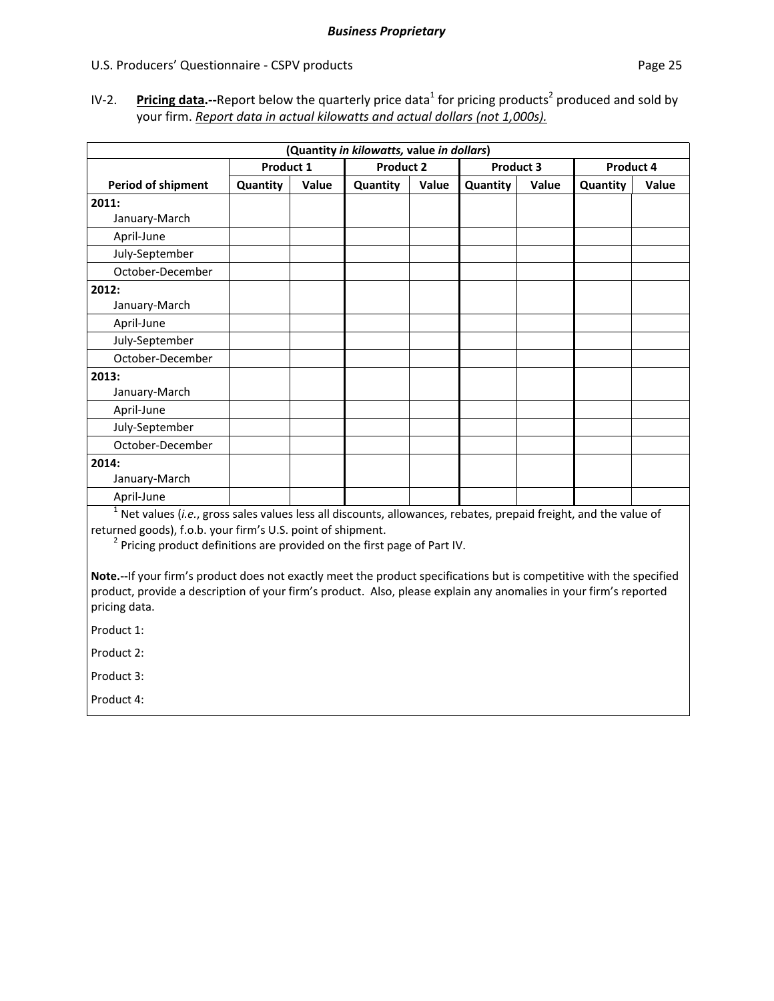IV-2. **Pricing data.**—Report below the quarterly price data<sup>1</sup> for pricing products<sup>2</sup> produced and sold by your firm. *Report data in actual kilowatts and actual dollars (not 1,000s).*

|                           |           |       | (Quantity in kilowatts, value in dollars) |       |           |       |           |              |
|---------------------------|-----------|-------|-------------------------------------------|-------|-----------|-------|-----------|--------------|
|                           | Product 1 |       | <b>Product 2</b>                          |       | Product 3 |       | Product 4 |              |
| <b>Period of shipment</b> | Quantity  | Value | Quantity                                  | Value | Quantity  | Value | Quantity  | <b>Value</b> |
| 2011:                     |           |       |                                           |       |           |       |           |              |
| January-March             |           |       |                                           |       |           |       |           |              |
| April-June                |           |       |                                           |       |           |       |           |              |
| July-September            |           |       |                                           |       |           |       |           |              |
| October-December          |           |       |                                           |       |           |       |           |              |
| 2012:                     |           |       |                                           |       |           |       |           |              |
| January-March             |           |       |                                           |       |           |       |           |              |
| April-June                |           |       |                                           |       |           |       |           |              |
| July-September            |           |       |                                           |       |           |       |           |              |
| October-December          |           |       |                                           |       |           |       |           |              |
| 2013:                     |           |       |                                           |       |           |       |           |              |
| January-March             |           |       |                                           |       |           |       |           |              |
| April-June                |           |       |                                           |       |           |       |           |              |
| July-September            |           |       |                                           |       |           |       |           |              |
| October-December          |           |       |                                           |       |           |       |           |              |
| 2014:                     |           |       |                                           |       |           |       |           |              |
| January-March             |           |       |                                           |       |           |       |           |              |
| April-June                |           |       |                                           |       |           |       |           |              |

<sup>1</sup> Net values (*i.e.*, gross sales values less all discounts, allowances, rebates, prepaid freight, and the value of returned goods), f.o.b. your firm's U.S. point of shipment.

 $2$  Pricing product definitions are provided on the first page of Part IV.

**Note.‐‐**If your firm's product does not exactly meet the product specifications but is competitive with the specified product, provide a description of your firm's product. Also, please explain any anomalies in your firm's reported pricing data.

Product 1:

Product 2:

Product 3:

Product 4: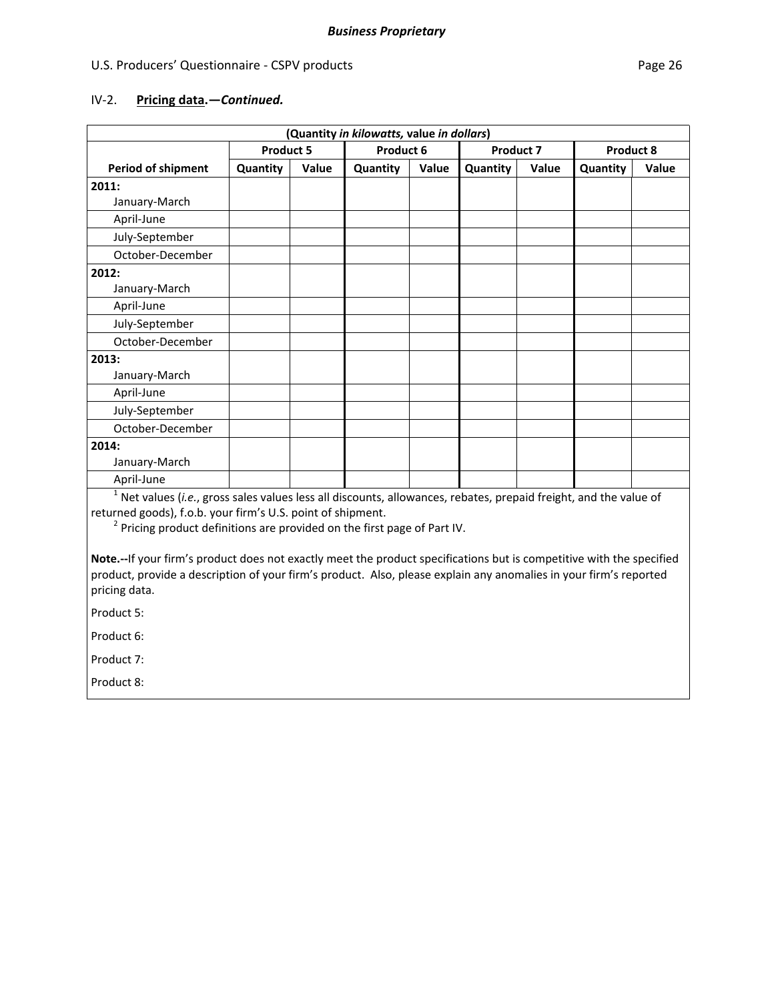## IV‐2. **Pricing data.—***Continued.*

|                                                                                                                                                                                                                                                                                                                                                                                                                                                                                                                                                       |                  |       | (Quantity in kilowatts, value in dollars) |       |           |       |           |       |
|-------------------------------------------------------------------------------------------------------------------------------------------------------------------------------------------------------------------------------------------------------------------------------------------------------------------------------------------------------------------------------------------------------------------------------------------------------------------------------------------------------------------------------------------------------|------------------|-------|-------------------------------------------|-------|-----------|-------|-----------|-------|
|                                                                                                                                                                                                                                                                                                                                                                                                                                                                                                                                                       | <b>Product 5</b> |       | Product 6                                 |       | Product 7 |       | Product 8 |       |
| <b>Period of shipment</b>                                                                                                                                                                                                                                                                                                                                                                                                                                                                                                                             | Quantity         | Value | Quantity                                  | Value | Quantity  | Value | Quantity  | Value |
| 2011:                                                                                                                                                                                                                                                                                                                                                                                                                                                                                                                                                 |                  |       |                                           |       |           |       |           |       |
| January-March                                                                                                                                                                                                                                                                                                                                                                                                                                                                                                                                         |                  |       |                                           |       |           |       |           |       |
| April-June                                                                                                                                                                                                                                                                                                                                                                                                                                                                                                                                            |                  |       |                                           |       |           |       |           |       |
| July-September                                                                                                                                                                                                                                                                                                                                                                                                                                                                                                                                        |                  |       |                                           |       |           |       |           |       |
| October-December                                                                                                                                                                                                                                                                                                                                                                                                                                                                                                                                      |                  |       |                                           |       |           |       |           |       |
| 2012:                                                                                                                                                                                                                                                                                                                                                                                                                                                                                                                                                 |                  |       |                                           |       |           |       |           |       |
| January-March                                                                                                                                                                                                                                                                                                                                                                                                                                                                                                                                         |                  |       |                                           |       |           |       |           |       |
| April-June                                                                                                                                                                                                                                                                                                                                                                                                                                                                                                                                            |                  |       |                                           |       |           |       |           |       |
| July-September                                                                                                                                                                                                                                                                                                                                                                                                                                                                                                                                        |                  |       |                                           |       |           |       |           |       |
| October-December                                                                                                                                                                                                                                                                                                                                                                                                                                                                                                                                      |                  |       |                                           |       |           |       |           |       |
| 2013:                                                                                                                                                                                                                                                                                                                                                                                                                                                                                                                                                 |                  |       |                                           |       |           |       |           |       |
| January-March                                                                                                                                                                                                                                                                                                                                                                                                                                                                                                                                         |                  |       |                                           |       |           |       |           |       |
| April-June                                                                                                                                                                                                                                                                                                                                                                                                                                                                                                                                            |                  |       |                                           |       |           |       |           |       |
| July-September                                                                                                                                                                                                                                                                                                                                                                                                                                                                                                                                        |                  |       |                                           |       |           |       |           |       |
| October-December                                                                                                                                                                                                                                                                                                                                                                                                                                                                                                                                      |                  |       |                                           |       |           |       |           |       |
| 2014:                                                                                                                                                                                                                                                                                                                                                                                                                                                                                                                                                 |                  |       |                                           |       |           |       |           |       |
| January-March                                                                                                                                                                                                                                                                                                                                                                                                                                                                                                                                         |                  |       |                                           |       |           |       |           |       |
| April-June                                                                                                                                                                                                                                                                                                                                                                                                                                                                                                                                            |                  |       |                                           |       |           |       |           |       |
| $1$ Net values (i.e., gross sales values less all discounts, allowances, rebates, prepaid freight, and the value of<br>returned goods), f.o.b. your firm's U.S. point of shipment.<br><sup>2</sup> Pricing product definitions are provided on the first page of Part IV.<br>Note.--If your firm's product does not exactly meet the product specifications but is competitive with the specified<br>product, provide a description of your firm's product. Also, please explain any anomalies in your firm's reported<br>pricing data.<br>Product 5: |                  |       |                                           |       |           |       |           |       |

Product 6:

Product 7:

Product 8: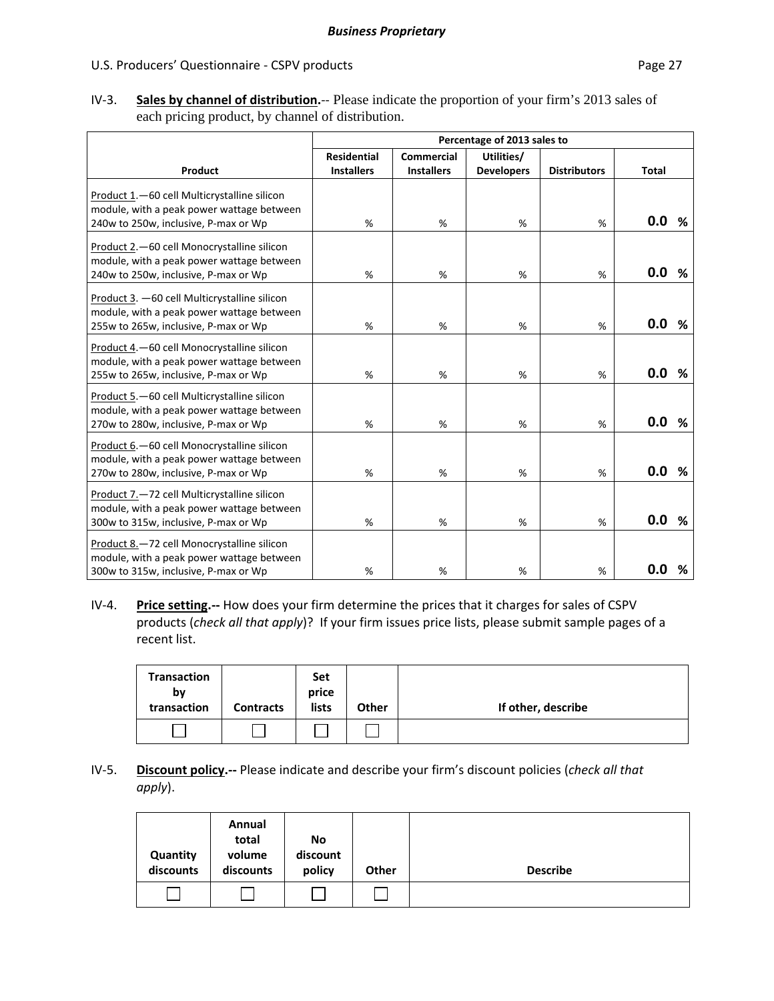IV‐3. **Sales by channel of distribution.**‐‐ Please indicate the proportion of your firm's 2013 sales of each pricing product, by channel of distribution.

|                                                                                                                                    |                    |                   | Percentage of 2013 sales to |                     |              |
|------------------------------------------------------------------------------------------------------------------------------------|--------------------|-------------------|-----------------------------|---------------------|--------------|
|                                                                                                                                    | <b>Residential</b> | <b>Commercial</b> | Utilities/                  |                     |              |
| Product                                                                                                                            | <b>Installers</b>  | <b>Installers</b> | <b>Developers</b>           | <b>Distributors</b> | <b>Total</b> |
| Product 1.-60 cell Multicrystalline silicon<br>module, with a peak power wattage between<br>240w to 250w, inclusive, P-max or Wp   | $\%$               | %                 | %                           | %                   | 0.0<br>%     |
|                                                                                                                                    |                    |                   |                             |                     |              |
| Product 2.-60 cell Monocrystalline silicon<br>module, with a peak power wattage between<br>240w to 250w, inclusive, P-max or Wp    | %                  | %                 | %                           | %                   | 0.0<br>%     |
| Product 3. - 60 cell Multicrystalline silicon<br>module, with a peak power wattage between<br>255w to 265w, inclusive, P-max or Wp | %                  | %                 | %                           | %                   | 0.0<br>%     |
| Product 4. - 60 cell Monocrystalline silicon<br>module, with a peak power wattage between<br>255w to 265w, inclusive, P-max or Wp  | %                  | %                 | %                           | %                   | 0.0<br>%     |
| Product 5.-60 cell Multicrystalline silicon<br>module, with a peak power wattage between<br>270w to 280w, inclusive, P-max or Wp   | %                  | %                 | %                           | %                   | 0.0<br>%     |
| Product 6.-60 cell Monocrystalline silicon<br>module, with a peak power wattage between<br>270w to 280w, inclusive, P-max or Wp    | %                  | $\%$              | %                           | %                   | 0.0<br>%     |
| Product 7.-72 cell Multicrystalline silicon<br>module, with a peak power wattage between<br>300w to 315w, inclusive, P-max or Wp   | %                  | %                 | %                           | %                   | 0.0<br>%     |
| Product 8.-72 cell Monocrystalline silicon<br>module, with a peak power wattage between<br>300w to 315w, inclusive, P-max or Wp    | %                  | %                 | %                           | %                   | 0.0<br>%     |

IV‐4. **Price setting.‐‐** How does your firm determine the prices that it charges for sales of CSPV products (*check all that apply*)? If your firm issues price lists, please submit sample pages of a recent list.

| <b>Transaction</b><br>bν<br>transaction | <b>Contracts</b> | <b>Set</b><br>price<br>lists | Other | If other, describe |
|-----------------------------------------|------------------|------------------------------|-------|--------------------|
|                                         |                  |                              |       |                    |

### IV‐5. **Discount policy.‐‐** Please indicate and describe your firm's discount policies (*check all that apply*).

| Quantity<br>discounts | Annual<br>total<br>volume<br>discounts | No<br>discount<br>policy | Other | <b>Describe</b> |
|-----------------------|----------------------------------------|--------------------------|-------|-----------------|
|                       |                                        |                          |       |                 |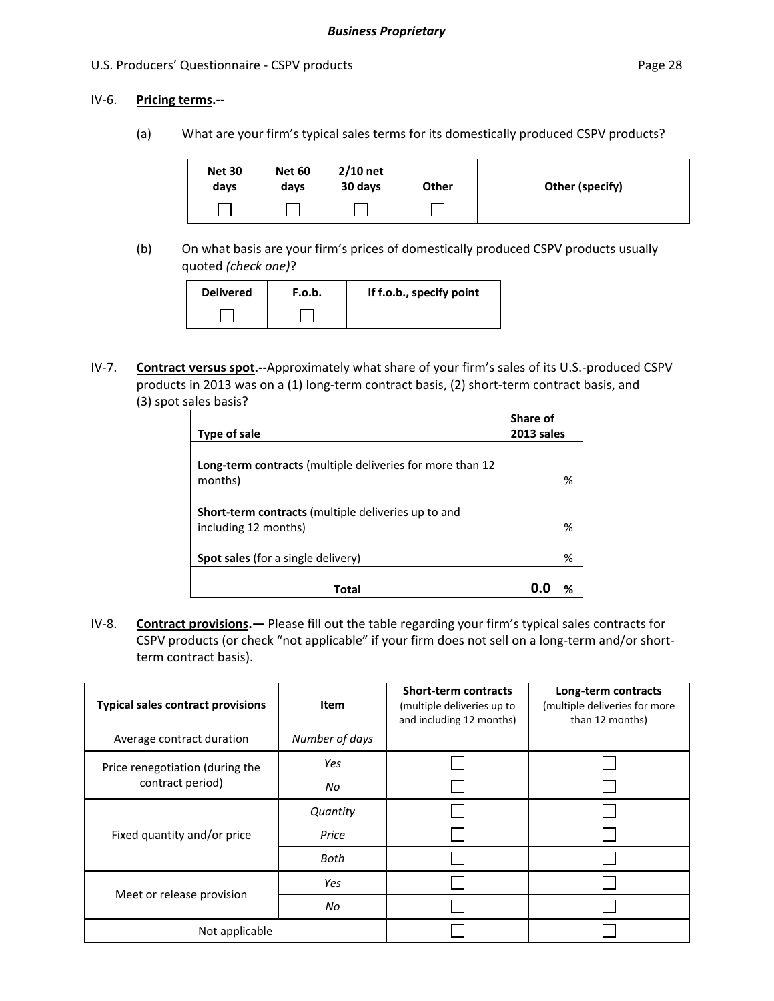### IV‐6. **Pricing terms.‐‐**

(a) What are your firm's typical sales terms for its domestically produced CSPV products?

| <b>Net 30</b><br>days | <b>Net 60</b><br>days | $2/10$ net<br>30 days | <b>Other</b> | Other (specify) |
|-----------------------|-----------------------|-----------------------|--------------|-----------------|
|                       |                       |                       |              |                 |

(b) On what basis are your firm's prices of domestically produced CSPV products usually quoted *(check one)*?

| <b>Delivered</b> | F.o.b. | If f.o.b., specify point |
|------------------|--------|--------------------------|
|                  |        |                          |

IV‐7. **Contract versus spot.‐‐**Approximately what share of your firm's sales of its U.S.‐produced CSPV products in 2013 was on a (1) long-term contract basis, (2) short-term contract basis, and (3) spot sales basis?

| Type of sale                                                                       | Share of<br>2013 sales |
|------------------------------------------------------------------------------------|------------------------|
|                                                                                    |                        |
| Long-term contracts (multiple deliveries for more than 12<br>months)               | %                      |
|                                                                                    |                        |
| <b>Short-term contracts</b> (multiple deliveries up to and<br>including 12 months) | %                      |
|                                                                                    |                        |
| <b>Spot sales</b> (for a single delivery)                                          | %                      |
| Total                                                                              |                        |

IV‐8. **Contract provisions.—** Please fill out the table regarding your firm's typical sales contracts for CSPV products (or check "not applicable" if your firm does not sell on a long‐term and/or short‐ term contract basis).

| <b>Typical sales contract provisions</b> | <b>Item</b>    | <b>Short-term contracts</b><br>(multiple deliveries up to<br>and including 12 months) | Long-term contracts<br>(multiple deliveries for more<br>than 12 months) |
|------------------------------------------|----------------|---------------------------------------------------------------------------------------|-------------------------------------------------------------------------|
| Average contract duration                | Number of days |                                                                                       |                                                                         |
| Price renegotiation (during the          | Yes            |                                                                                       |                                                                         |
| contract period)                         | No             |                                                                                       |                                                                         |
|                                          | Quantity       |                                                                                       |                                                                         |
| Fixed quantity and/or price              | Price          |                                                                                       |                                                                         |
|                                          | Both           |                                                                                       |                                                                         |
|                                          | Yes            |                                                                                       |                                                                         |
| Meet or release provision                | No             |                                                                                       |                                                                         |
| Not applicable                           |                |                                                                                       |                                                                         |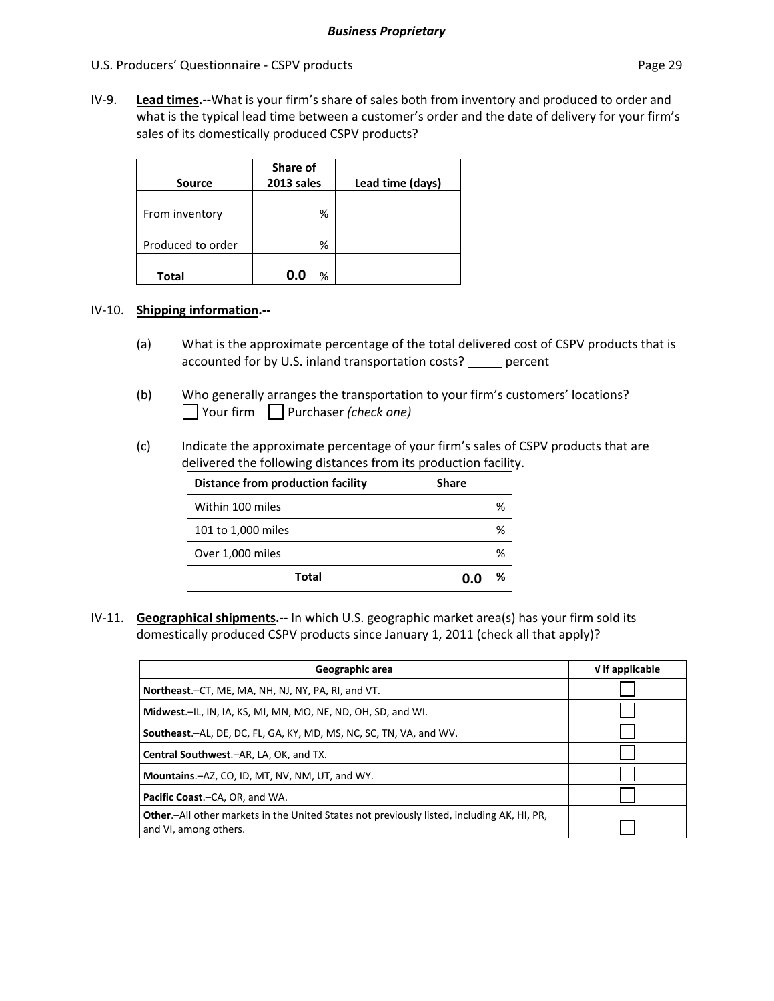IV‐9. **Lead times.‐‐**What is your firm's share of sales both from inventory and produced to order and what is the typical lead time between a customer's order and the date of delivery for your firm's sales of its domestically produced CSPV products?

| Source            | Share of<br>2013 sales | Lead time (days) |
|-------------------|------------------------|------------------|
| From inventory    | %                      |                  |
| Produced to order | %                      |                  |
| Total             | n n<br>%               |                  |

### IV‐10. **Shipping information.‐‐**

- (a) What is the approximate percentage of the total delivered cost of CSPV products that is accounted for by U.S. inland transportation costs? \_\_\_\_\_ percent
- (b) Who generally arranges the transportation to your firm's customers' locations? Your firm Purchaser *(check one)*
- (c) Indicate the approximate percentage of your firm's sales of CSPV products that are delivered the following distances from its production facility.

| <b>Distance from production facility</b> | <b>Share</b> |
|------------------------------------------|--------------|
| Within 100 miles                         | %            |
| 101 to 1,000 miles                       | %            |
| Over 1,000 miles                         | %            |
| Total                                    | ℅            |

IV‐11. **Geographical shipments.‐‐** In which U.S. geographic market area(s) has your firm sold its domestically produced CSPV products since January 1, 2011 (check all that apply)?

| Geographic area                                                                                                             | $V$ if applicable |
|-----------------------------------------------------------------------------------------------------------------------------|-------------------|
| Northeast.-CT, ME, MA, NH, NJ, NY, PA, RI, and VT.                                                                          |                   |
| Midwest.-IL, IN, IA, KS, MI, MN, MO, NE, ND, OH, SD, and WI.                                                                |                   |
| <b>Southeast.</b> -AL, DE, DC, FL, GA, KY, MD, MS, NC, SC, TN, VA, and WV.                                                  |                   |
| Central Southwest.-AR, LA, OK, and TX.                                                                                      |                   |
| Mountains.-AZ, CO, ID, MT, NV, NM, UT, and WY.                                                                              |                   |
| Pacific Coast.-CA, OR, and WA.                                                                                              |                   |
| <b>Other.</b> —All other markets in the United States not previously listed, including AK, HI, PR,<br>and VI, among others. |                   |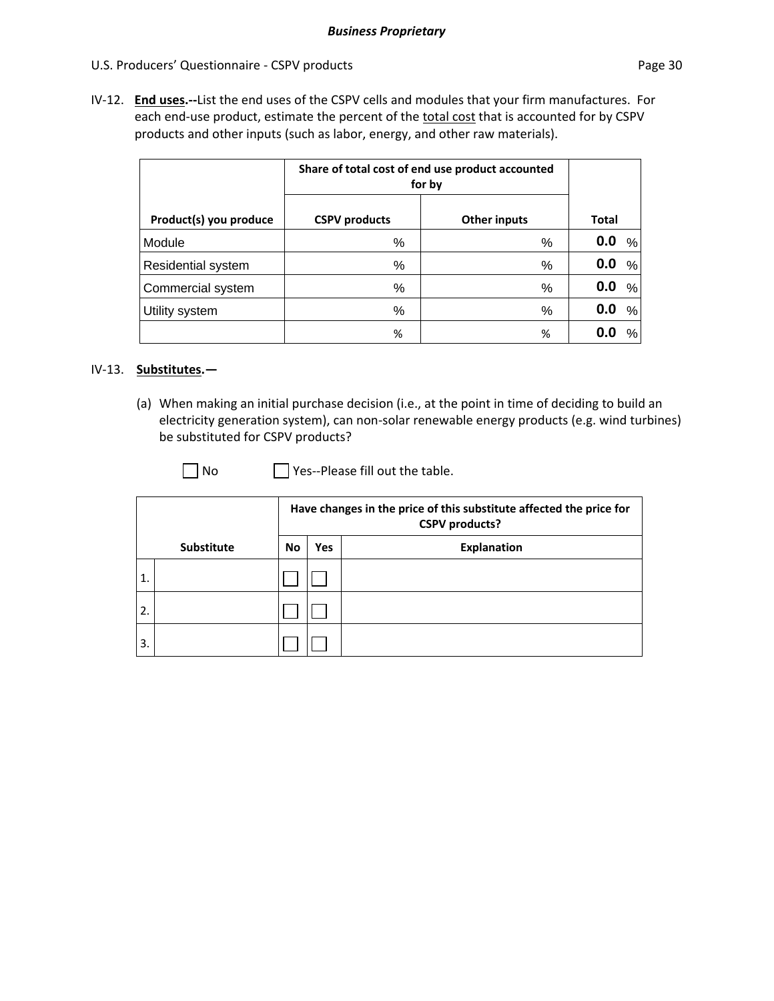IV‐12. **End uses.‐‐**List the end uses of the CSPV cells and modules that your firm manufactures. For each end-use product, estimate the percent of the total cost that is accounted for by CSPV products and other inputs (such as labor, energy, and other raw materials).

|                        | Share of total cost of end use product accounted<br>for by |                     |          |
|------------------------|------------------------------------------------------------|---------------------|----------|
| Product(s) you produce | <b>CSPV</b> products                                       | <b>Other inputs</b> | Total    |
| Module                 | %                                                          | %                   | 0.0<br>% |
| Residential system     | %                                                          | %                   | 0.0<br>% |
| Commercial system      | %                                                          | %                   | 0.0<br>% |
| Utility system         | %                                                          | %                   | 0.0<br>% |
|                        | %                                                          | %                   | 0.0<br>% |

### IV‐13. **Substitutes.—**

(a) When making an initial purchase decision (i.e., at the point in time of deciding to build an electricity generation system), can non‐solar renewable energy products (e.g. wind turbines) be substituted for CSPV products?

□ No Yes--Please fill out the table.

|              |            | Have changes in the price of this substitute affected the price for<br><b>CSPV</b> products? |            |             |
|--------------|------------|----------------------------------------------------------------------------------------------|------------|-------------|
|              | Substitute | No                                                                                           | <b>Yes</b> | Explanation |
| $\mathbf{1}$ |            |                                                                                              |            |             |
| 2.           |            |                                                                                              |            |             |
| 3.           |            |                                                                                              |            |             |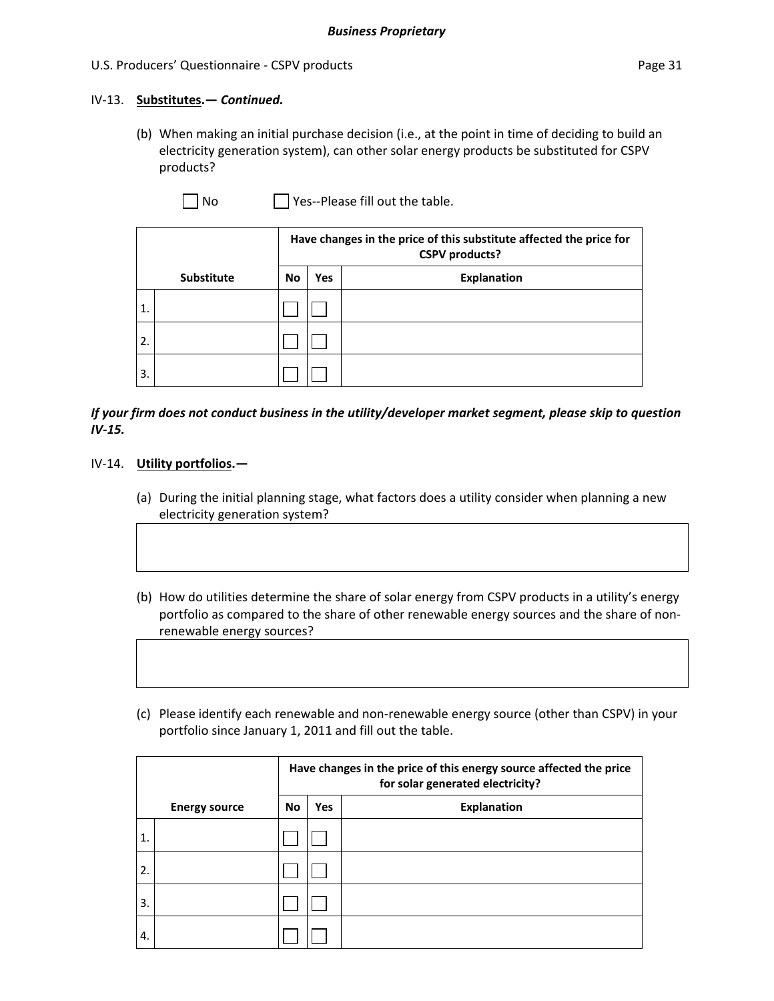### IV‐13. **Substitutes.—** *Continued.*

(b) When making an initial purchase decision (i.e., at the point in time of deciding to build an electricity generation system), can other solar energy products be substituted for CSPV products?

 $\Box$  No  $\Box$  Yes--Please fill out the table.

|    |                   | Have changes in the price of this substitute affected the price for<br><b>CSPV</b> products? |            |                    |
|----|-------------------|----------------------------------------------------------------------------------------------|------------|--------------------|
|    | <b>Substitute</b> | No                                                                                           | <b>Yes</b> | <b>Explanation</b> |
| 1. |                   |                                                                                              |            |                    |
| 2. |                   |                                                                                              |            |                    |
| 3. |                   |                                                                                              |            |                    |

### *If your firm does not conduct business in the utility/developer market segment, please skip to question IV‐15.*

### IV‐14. **Utility portfolios.—**

- (a) During the initial planning stage, what factors does a utility consider when planning a new electricity generation system?
- (b) How do utilities determine the share of solar energy from CSPV products in a utility's energy portfolio as compared to the share of other renewable energy sources and the share of non‐ renewable energy sources?
- (c) Please identify each renewable and non‐renewable energy source (other than CSPV) in your portfolio since January 1, 2011 and fill out the table.

|                  |                      | Have changes in the price of this energy source affected the price<br>for solar generated electricity? |     |                    |
|------------------|----------------------|--------------------------------------------------------------------------------------------------------|-----|--------------------|
|                  | <b>Energy source</b> | No                                                                                                     | Yes | <b>Explanation</b> |
| $\overline{1}$ . |                      |                                                                                                        |     |                    |
| 2.               |                      |                                                                                                        |     |                    |
| 3.               |                      |                                                                                                        |     |                    |
| 4.               |                      |                                                                                                        |     |                    |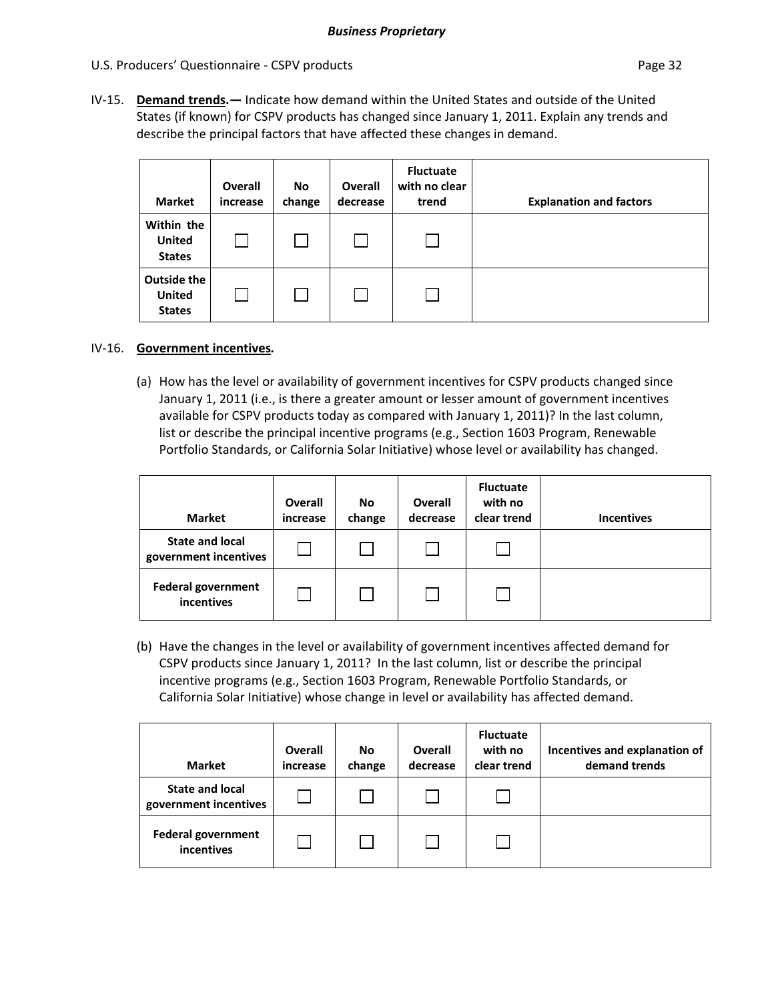IV‐15. **Demand trends.—** Indicate how demand within the United States and outside of the United States (if known) for CSPV products has changed since January 1, 2011. Explain any trends and describe the principal factors that have affected these changes in demand.

| <b>Market</b>                                 | <b>Overall</b><br>increase | No<br>change | <b>Overall</b><br>decrease | <b>Fluctuate</b><br>with no clear<br>trend | <b>Explanation and factors</b> |
|-----------------------------------------------|----------------------------|--------------|----------------------------|--------------------------------------------|--------------------------------|
| Within the<br><b>United</b><br><b>States</b>  |                            |              |                            |                                            |                                |
| Outside the<br><b>United</b><br><b>States</b> |                            |              |                            |                                            |                                |

### IV‐16. **Government incentives***.*

(a) How has the level or availability of government incentives for CSPV products changed since January 1, 2011 (i.e., is there a greater amount or lesser amount of government incentives available for CSPV products today as compared with January 1, 2011)? In the last column, list or describe the principal incentive programs (e.g., Section 1603 Program, Renewable Portfolio Standards, or California Solar Initiative) whose level or availability has changed.

| <b>Market</b>                                   | Overall<br>increase | No.<br>change | <b>Overall</b><br>decrease | <b>Fluctuate</b><br>with no<br>clear trend | <b>Incentives</b> |
|-------------------------------------------------|---------------------|---------------|----------------------------|--------------------------------------------|-------------------|
| <b>State and local</b><br>government incentives |                     |               |                            |                                            |                   |
| <b>Federal government</b><br>incentives         |                     |               |                            |                                            |                   |

(b) Have the changes in the level or availability of government incentives affected demand for CSPV products since January 1, 2011? In the last column, list or describe the principal incentive programs (e.g., Section 1603 Program, Renewable Portfolio Standards, or California Solar Initiative) whose change in level or availability has affected demand.

| <b>Market</b>                                   | Overall<br>increase | No<br>change | Overall<br>decrease | <b>Fluctuate</b><br>with no<br>clear trend | Incentives and explanation of<br>demand trends |
|-------------------------------------------------|---------------------|--------------|---------------------|--------------------------------------------|------------------------------------------------|
| <b>State and local</b><br>government incentives |                     |              |                     |                                            |                                                |
| <b>Federal government</b><br>incentives         |                     |              |                     |                                            |                                                |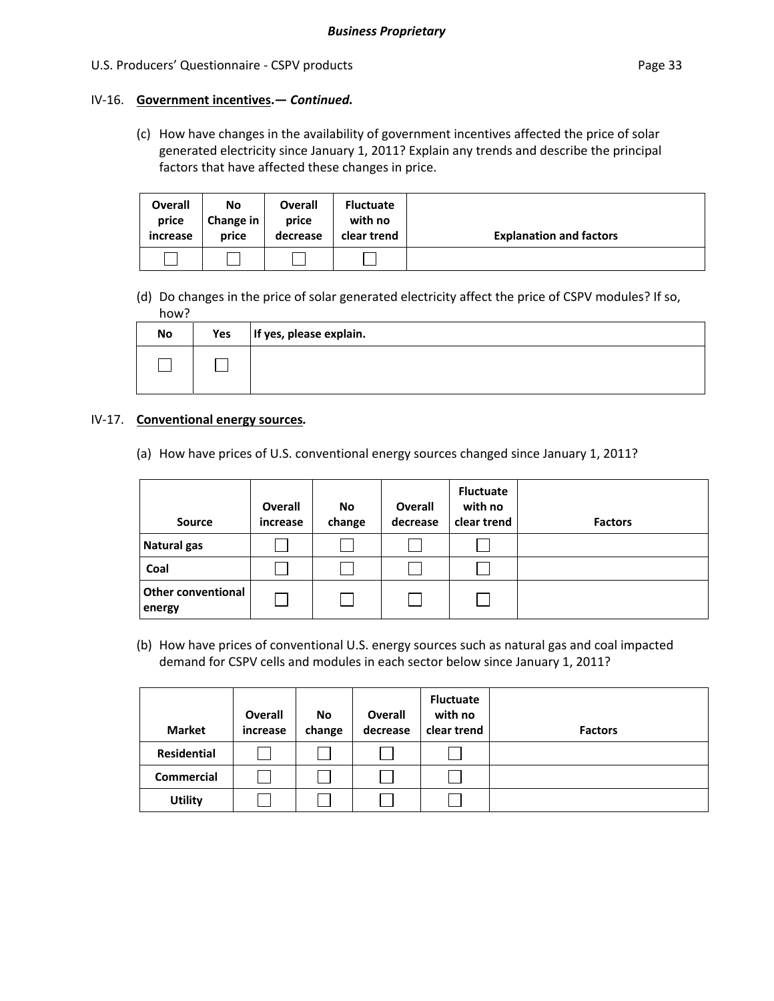# IV‐16. **Government incentives.—** *Continued.*

(c) How have changes in the availability of government incentives affected the price of solar generated electricity since January 1, 2011? Explain any trends and describe the principal factors that have affected these changes in price.

| <b>Overall</b><br>price<br>increase | No<br>Change in<br>price | Overall<br>price<br>decrease | <b>Fluctuate</b><br>with no<br>clear trend | <b>Explanation and factors</b> |
|-------------------------------------|--------------------------|------------------------------|--------------------------------------------|--------------------------------|
|                                     |                          |                              |                                            |                                |

(d) Do changes in the price of solar generated electricity affect the price of CSPV modules? If so, how?

| No | Yes | If yes, please explain. |
|----|-----|-------------------------|
|    |     |                         |

### IV‐17. **Conventional energy sources***.*

(a) How have prices of U.S. conventional energy sources changed since January 1, 2011?

| <b>Source</b>                       | <b>Overall</b><br>increase | No.<br>change | <b>Overall</b><br>decrease | <b>Fluctuate</b><br>with no<br>clear trend | <b>Factors</b> |
|-------------------------------------|----------------------------|---------------|----------------------------|--------------------------------------------|----------------|
| <b>Natural gas</b>                  |                            |               |                            |                                            |                |
| Coal                                |                            |               |                            |                                            |                |
| <b>Other conventional</b><br>energy |                            |               |                            |                                            |                |

(b) How have prices of conventional U.S. energy sources such as natural gas and coal impacted demand for CSPV cells and modules in each sector below since January 1, 2011?

| <b>Market</b>      | Overall<br>increase | No<br>change | <b>Overall</b><br>decrease | <b>Fluctuate</b><br>with no<br>clear trend | <b>Factors</b> |
|--------------------|---------------------|--------------|----------------------------|--------------------------------------------|----------------|
| <b>Residential</b> |                     |              |                            |                                            |                |
| <b>Commercial</b>  |                     |              |                            |                                            |                |
| <b>Utility</b>     |                     |              |                            |                                            |                |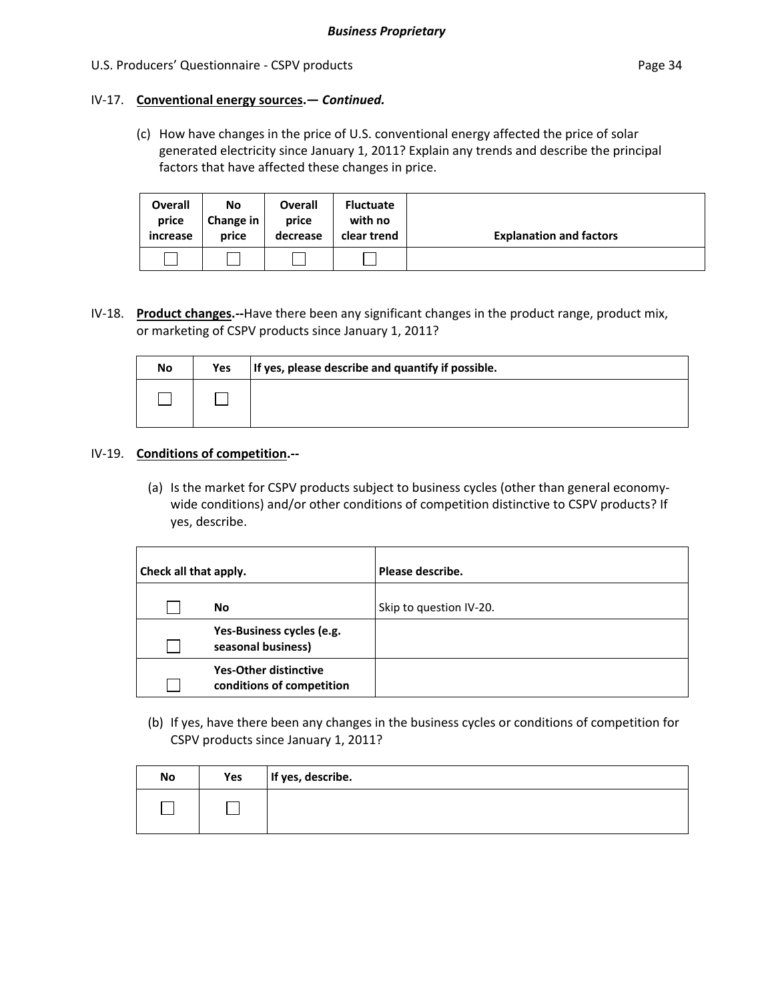### IV‐17. **Conventional energy sources.—** *Continued.*

(c) How have changes in the price of U.S. conventional energy affected the price of solar generated electricity since January 1, 2011? Explain any trends and describe the principal factors that have affected these changes in price.

| <b>Overall</b><br>price<br>increase | No<br>Change in<br>price | <b>Overall</b><br>price<br>decrease | <b>Fluctuate</b><br>with no<br>clear trend | <b>Explanation and factors</b> |
|-------------------------------------|--------------------------|-------------------------------------|--------------------------------------------|--------------------------------|
|                                     |                          |                                     |                                            |                                |

IV‐18. **Product changes.‐‐**Have there been any significant changes in the product range, product mix, or marketing of CSPV products since January 1, 2011?

| No | Yes | If yes, please describe and quantify if possible. |
|----|-----|---------------------------------------------------|
|    |     |                                                   |

### IV‐19. **Conditions of competition.‐‐**

(a) Is the market for CSPV products subject to business cycles (other than general economy‐ wide conditions) and/or other conditions of competition distinctive to CSPV products? If yes, describe.

| <b>Check all that apply.</b> |                                                           | Please describe.        |
|------------------------------|-----------------------------------------------------------|-------------------------|
|                              | No                                                        | Skip to question IV-20. |
|                              | Yes-Business cycles (e.g.<br>seasonal business)           |                         |
|                              | <b>Yes-Other distinctive</b><br>conditions of competition |                         |

(b) If yes, have there been any changes in the business cycles or conditions of competition for CSPV products since January 1, 2011?

| No | Yes | If yes, describe. |
|----|-----|-------------------|
|    |     |                   |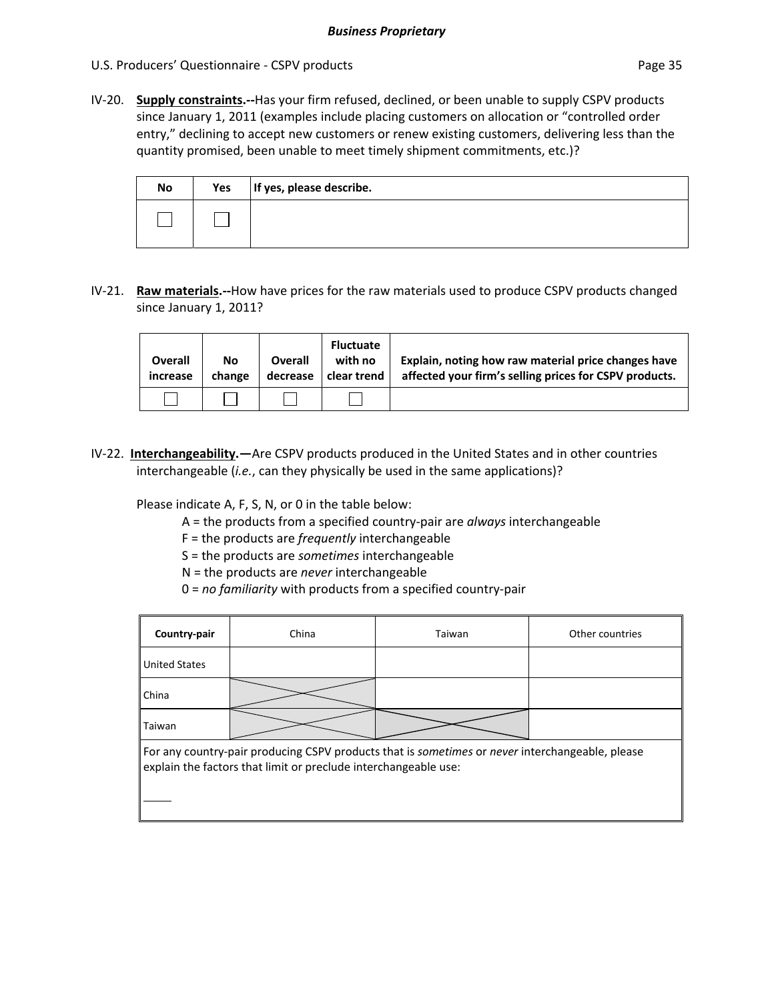IV‐20. **Supply constraints.‐‐**Has your firm refused, declined, or been unable to supply CSPV products since January 1, 2011 (examples include placing customers on allocation or "controlled order entry," declining to accept new customers or renew existing customers, delivering less than the quantity promised, been unable to meet timely shipment commitments, etc.)?

| <b>No</b> | Yes | If yes, please describe. |
|-----------|-----|--------------------------|
|           |     |                          |

IV‐21. **Raw materials.‐‐**How have prices for the raw materials used to produce CSPV products changed since January 1, 2011?

| <b>Overall</b><br>increase | No<br>change | <b>Overall</b><br>decrease | <b>Fluctuate</b><br>with no<br>clear trend | Explain, noting how raw material price changes have<br>affected your firm's selling prices for CSPV products. |
|----------------------------|--------------|----------------------------|--------------------------------------------|---------------------------------------------------------------------------------------------------------------|
|                            |              |                            |                                            |                                                                                                               |

IV-22. **Interchangeability.**—Are CSPV products produced in the United States and in other countries interchangeable (*i.e.*, can they physically be used in the same applications)?

Please indicate A, F, S, N, or 0 in the table below:

- A = the products from a specified country‐pair are *always* interchangeable
- F = the products are *frequently* interchangeable
- S = the products are *sometimes* interchangeable
- N = the products are *never* interchangeable
- 0 = *no familiarity* with products from a specified country‐pair

| Country-pair                                                                                                                                                       | China | Taiwan | Other countries |  |
|--------------------------------------------------------------------------------------------------------------------------------------------------------------------|-------|--------|-----------------|--|
| <b>United States</b>                                                                                                                                               |       |        |                 |  |
| <b>China</b>                                                                                                                                                       |       |        |                 |  |
| Taiwan                                                                                                                                                             |       |        |                 |  |
| For any country-pair producing CSPV products that is sometimes or never interchangeable, please<br>explain the factors that limit or preclude interchangeable use: |       |        |                 |  |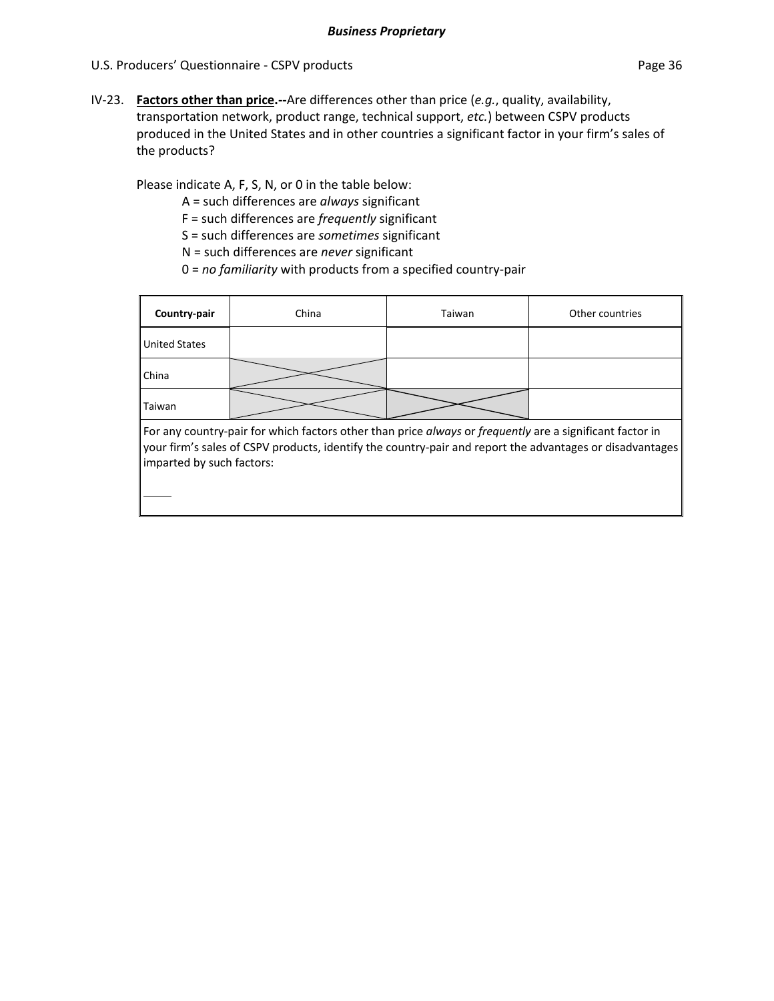IV‐23. **Factors other than price.‐‐**Are differences other than price (*e.g.*, quality, availability, transportation network, product range, technical support, *etc.*) between CSPV products produced in the United States and in other countries a significant factor in your firm's sales of the products?

Please indicate A, F, S, N, or 0 in the table below:

A = such differences are *always* significant

F = such differences are *frequently* significant

S = such differences are *sometimes* significant

N = such differences are *never* significant

0 = *no familiarity* with products from a specified country‐pair

| Country-pair                                                                                             | China | Taiwan | Other countries |
|----------------------------------------------------------------------------------------------------------|-------|--------|-----------------|
| <b>United States</b>                                                                                     |       |        |                 |
| <b>China</b>                                                                                             |       |        |                 |
| Taiwan                                                                                                   |       |        |                 |
| For any country-pair for which factors other than price always or frequently are a significant factor in |       |        |                 |

your firm's sales of CSPV products, identify the country‐pair and report the advantages or disadvantages imparted by such factors: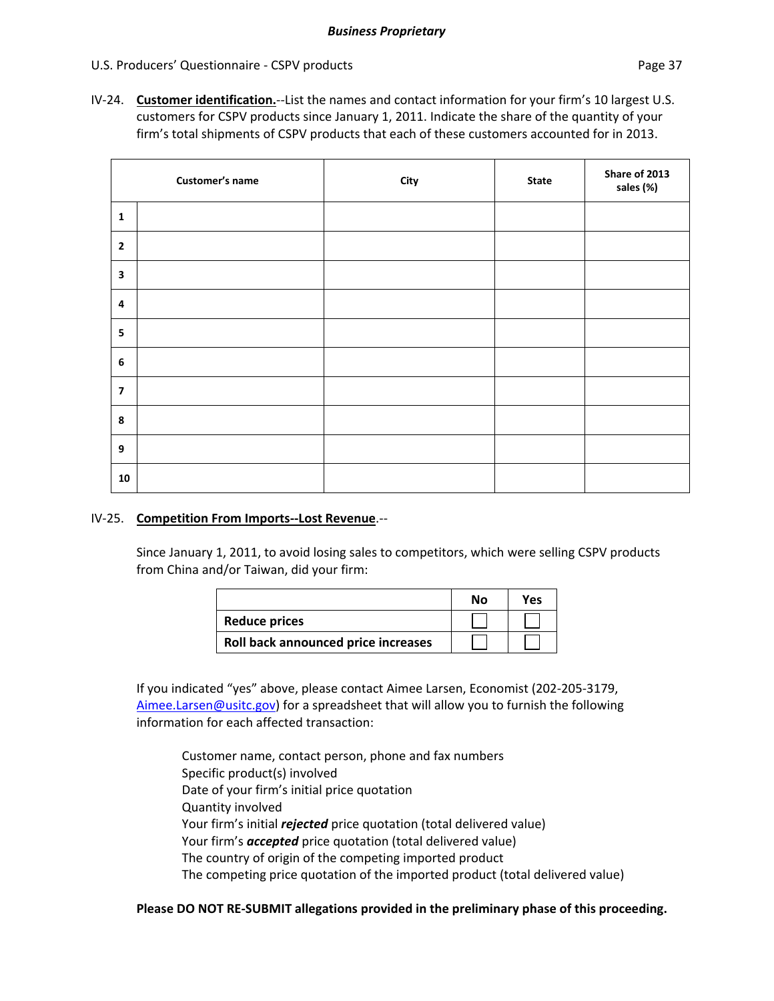IV‐24. **Customer identification.**‐‐List the names and contact information for your firm's 10 largest U.S. customers for CSPV products since January 1, 2011. Indicate the share of the quantity of your firm's total shipments of CSPV products that each of these customers accounted for in 2013.

|                         | Customer's name | City | <b>State</b> | Share of 2013<br>sales (%) |
|-------------------------|-----------------|------|--------------|----------------------------|
| $\mathbf{1}$            |                 |      |              |                            |
| $\overline{2}$          |                 |      |              |                            |
| $\mathbf{3}$            |                 |      |              |                            |
| $\overline{\mathbf{4}}$ |                 |      |              |                            |
| 5                       |                 |      |              |                            |
| $6\phantom{1}$          |                 |      |              |                            |
| $\overline{\mathbf{z}}$ |                 |      |              |                            |
| 8                       |                 |      |              |                            |
| 9                       |                 |      |              |                            |
| 10                      |                 |      |              |                            |

### IV‐25. **Competition From Imports‐‐Lost Revenue**.‐‐

Since January 1, 2011, to avoid losing sales to competitors, which were selling CSPV products from China and/or Taiwan, did your firm:

|                                     | Nο | Yes |
|-------------------------------------|----|-----|
| <b>Reduce prices</b>                |    |     |
| Roll back announced price increases |    |     |

If you indicated "yes" above, please contact Aimee Larsen, Economist (202‐205‐3179, Aimee.Larsen@usitc.gov) for a spreadsheet that will allow you to furnish the following information for each affected transaction:

Customer name, contact person, phone and fax numbers Specific product(s) involved Date of your firm's initial price quotation Quantity involved Your firm's initial *rejected* price quotation (total delivered value) Your firm's *accepted* price quotation (total delivered value) The country of origin of the competing imported product The competing price quotation of the imported product (total delivered value)

### **Please DO NOT RE‐SUBMIT allegations provided in the preliminary phase of this proceeding.**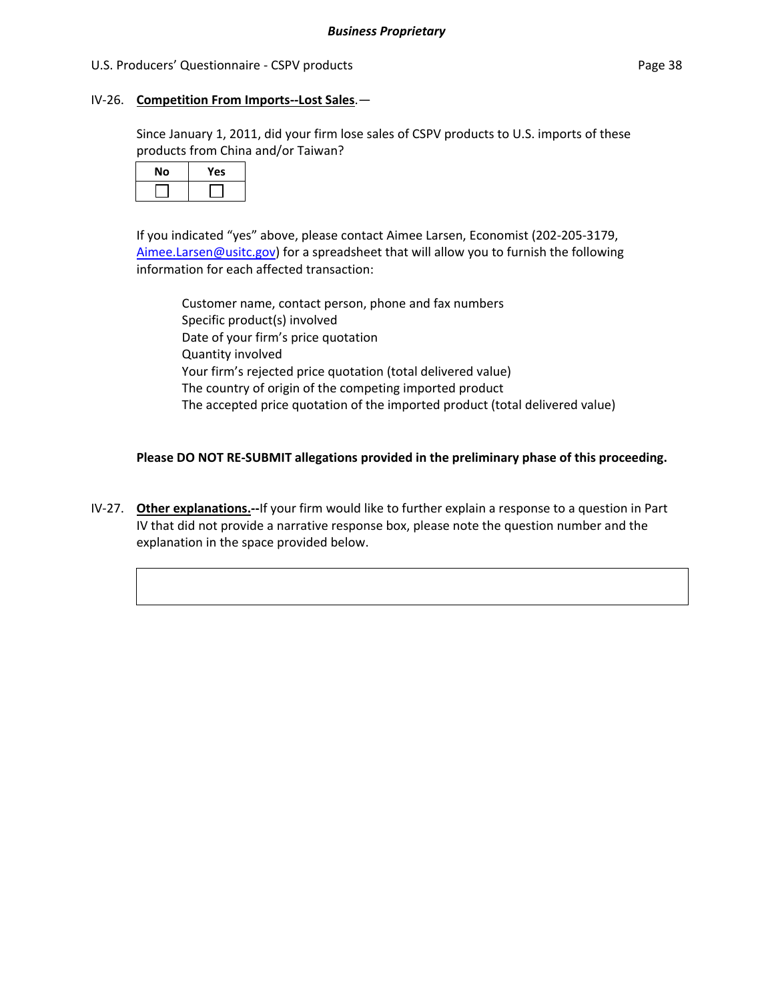### IV‐26. **Competition From Imports‐‐Lost Sales**.—

Since January 1, 2011, did your firm lose sales of CSPV products to U.S. imports of these products from China and/or Taiwan?

| No | Yes |
|----|-----|
|    |     |

If you indicated "yes" above, please contact Aimee Larsen, Economist (202‐205‐3179, Aimee.Larsen@usitc.gov) for a spreadsheet that will allow you to furnish the following information for each affected transaction:

Customer name, contact person, phone and fax numbers Specific product(s) involved Date of your firm's price quotation Quantity involved Your firm's rejected price quotation (total delivered value) The country of origin of the competing imported product The accepted price quotation of the imported product (total delivered value)

### **Please DO NOT RE‐SUBMIT allegations provided in the preliminary phase of this proceeding.**

IV‐27. **Other explanations.‐‐**If your firm would like to further explain a response to a question in Part IV that did not provide a narrative response box, please note the question number and the explanation in the space provided below.